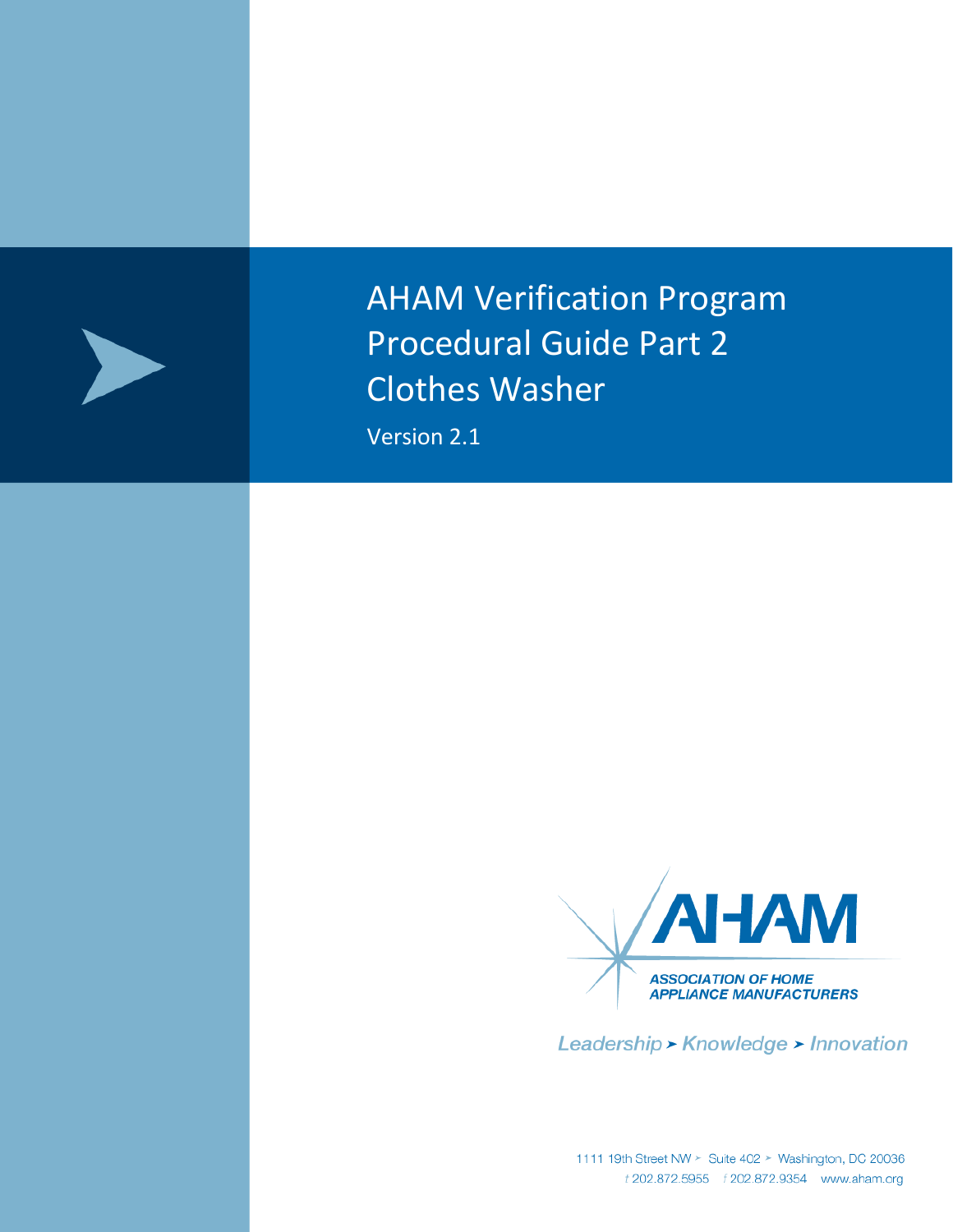

AHAM Verification Program Procedural Guide Part 2 Clothes Washer

Version 2.1



Leadership > Knowledge > Innovation

1111 19th Street NW > Suite 402 > Washington, DC 20036<br>*t* 202.872.5955 *f* 202.872.9354 www.aham.org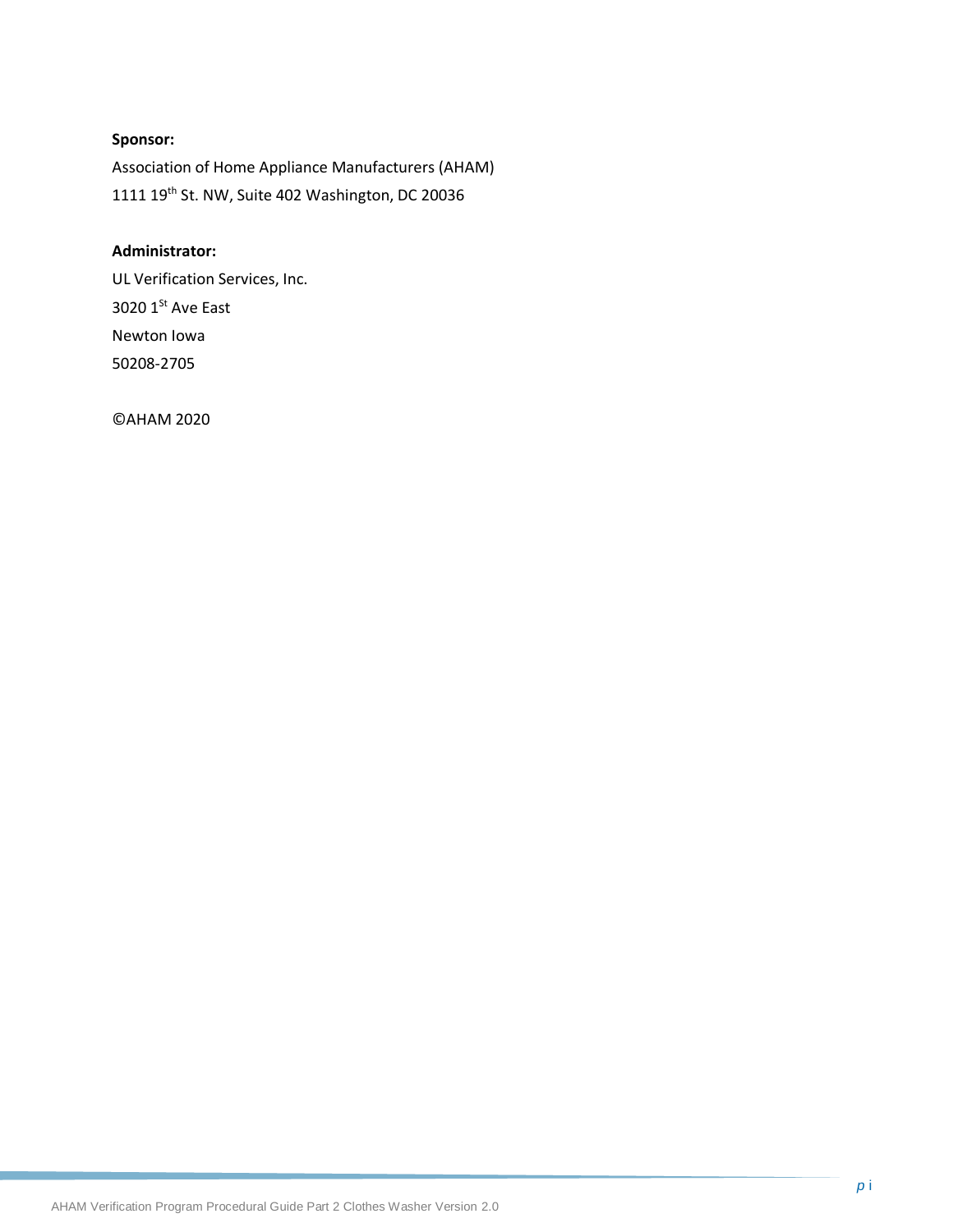## **Sponsor:**

Association of Home Appliance Manufacturers (AHAM) 1111 19th St. NW, Suite 402 Washington, DC 20036

#### **Administrator:**

UL Verification Services, Inc. 3020  $1<sup>St</sup>$  Ave East Newton Iowa 50208-2705

©AHAM 2020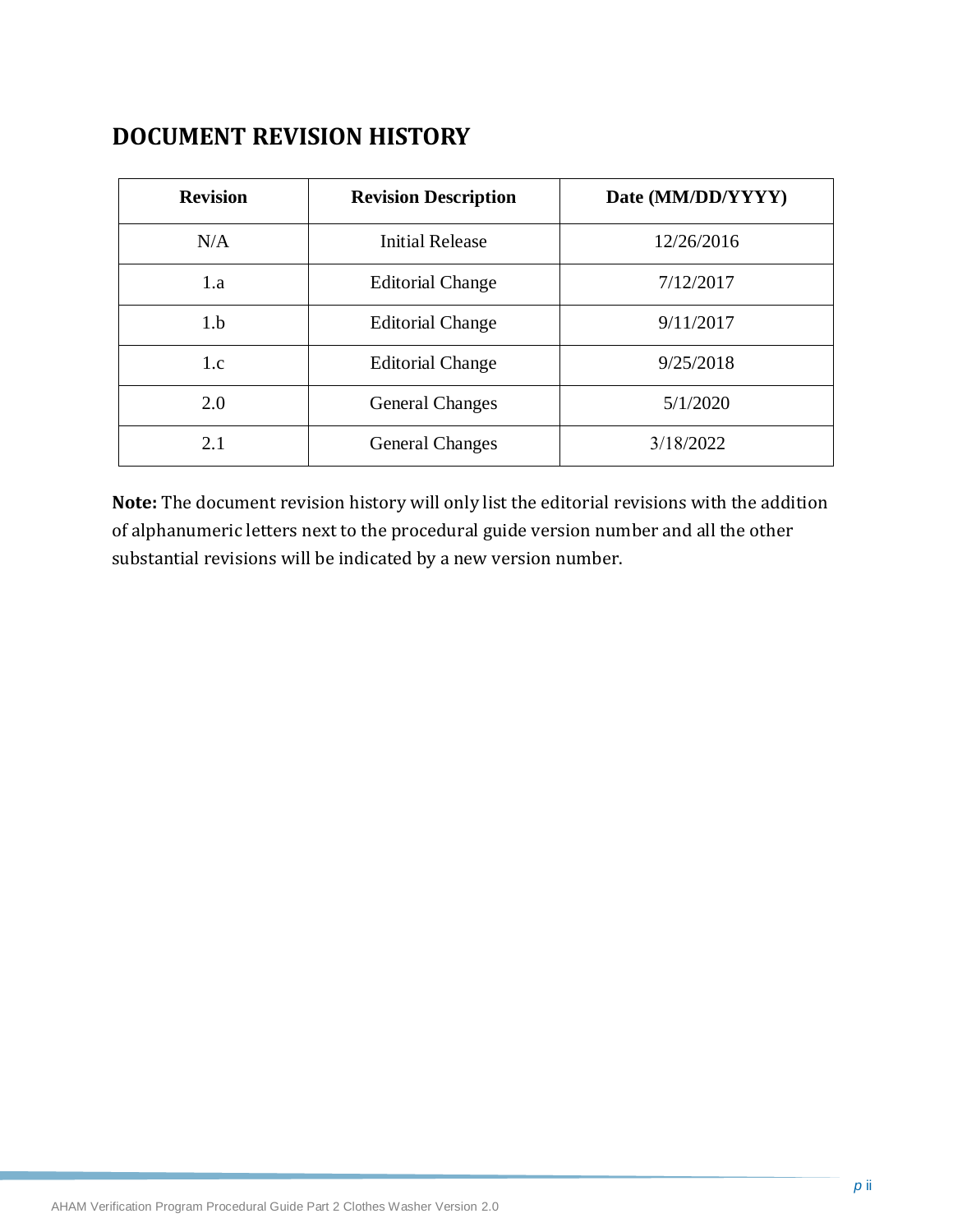## **DOCUMENT REVISION HISTORY**

| <b>Revision</b> | <b>Revision Description</b> | Date (MM/DD/YYYY) |
|-----------------|-----------------------------|-------------------|
| N/A             | <b>Initial Release</b>      | 12/26/2016        |
| 1.a             | <b>Editorial Change</b>     | 7/12/2017         |
| 1.b             | <b>Editorial Change</b>     | 9/11/2017         |
| 1.c             | <b>Editorial Change</b>     | 9/25/2018         |
| 2.0             | <b>General Changes</b>      | 5/1/2020          |
| 2.1             | <b>General Changes</b>      | 3/18/2022         |

**Note:** The document revision history will only list the editorial revisions with the addition of alphanumeric letters next to the procedural guide version number and all the other substantial revisions will be indicated by a new version number.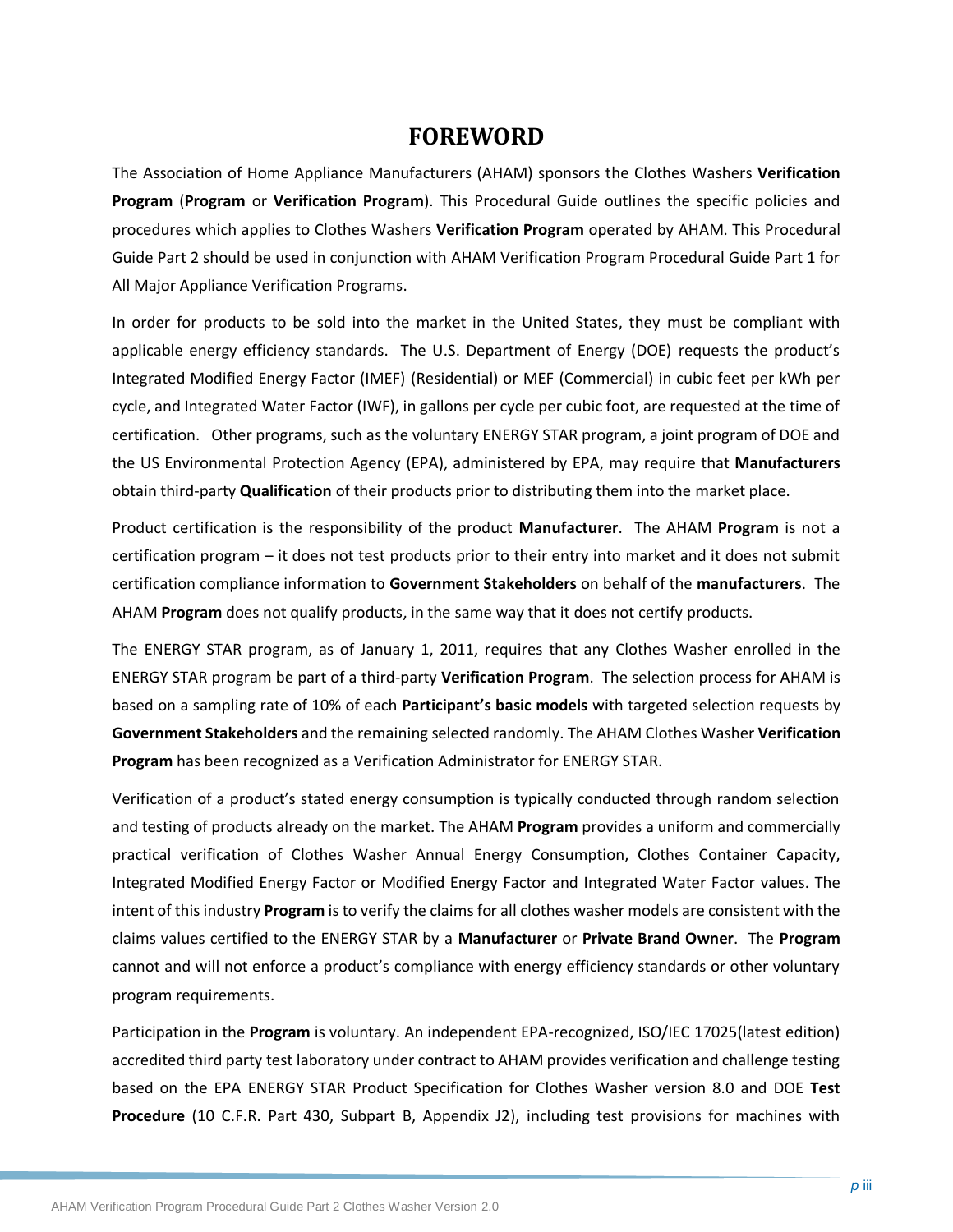## **FOREWORD**

The Association of Home Appliance Manufacturers (AHAM) sponsors the Clothes Washers **Verification Program** (**Program** or **Verification Program**). This Procedural Guide outlines the specific policies and procedures which applies to Clothes Washers **Verification Program** operated by AHAM. This Procedural Guide Part 2 should be used in conjunction with AHAM Verification Program Procedural Guide Part 1 for All Major Appliance Verification Programs.

In order for products to be sold into the market in the United States, they must be compliant with applicable energy efficiency standards. The U.S. Department of Energy (DOE) requests the product's Integrated Modified Energy Factor (IMEF) (Residential) or MEF (Commercial) in cubic feet per kWh per cycle, and Integrated Water Factor (IWF), in gallons per cycle per cubic foot, are requested at the time of certification. Other programs, such as the voluntary ENERGY STAR program, a joint program of DOE and the US Environmental Protection Agency (EPA), administered by EPA, may require that **Manufacturers** obtain third-party **Qualification** of their products prior to distributing them into the market place.

Product certification is the responsibility of the product **Manufacturer**. The AHAM **Program** is not a certification program – it does not test products prior to their entry into market and it does not submit certification compliance information to **Government Stakeholders** on behalf of the **manufacturers**. The AHAM **Program** does not qualify products, in the same way that it does not certify products.

The ENERGY STAR program, as of January 1, 2011, requires that any Clothes Washer enrolled in the ENERGY STAR program be part of a third-party **Verification Program**. The selection process for AHAM is based on a sampling rate of 10% of each **Participant's basic models** with targeted selection requests by **Government Stakeholders** and the remaining selected randomly. The AHAM Clothes Washer **Verification Program** has been recognized as a Verification Administrator for ENERGY STAR.

Verification of a product's stated energy consumption is typically conducted through random selection and testing of products already on the market. The AHAM **Program** provides a uniform and commercially practical verification of Clothes Washer Annual Energy Consumption, Clothes Container Capacity, Integrated Modified Energy Factor or Modified Energy Factor and Integrated Water Factor values. The intent of this industry **Program** is to verify the claims for all clothes washer models are consistent with the claims values certified to the ENERGY STAR by a **Manufacturer** or **Private Brand Owner**. The **Program** cannot and will not enforce a product's compliance with energy efficiency standards or other voluntary program requirements.

Participation in the **Program** is voluntary. An independent EPA-recognized, ISO/IEC 17025(latest edition) accredited third party test laboratory under contract to AHAM provides verification and challenge testing based on the EPA ENERGY STAR Product Specification for Clothes Washer version 8.0 and DOE **Test Procedure** (10 C.F.R. Part 430, Subpart B, Appendix J2), including test provisions for machines with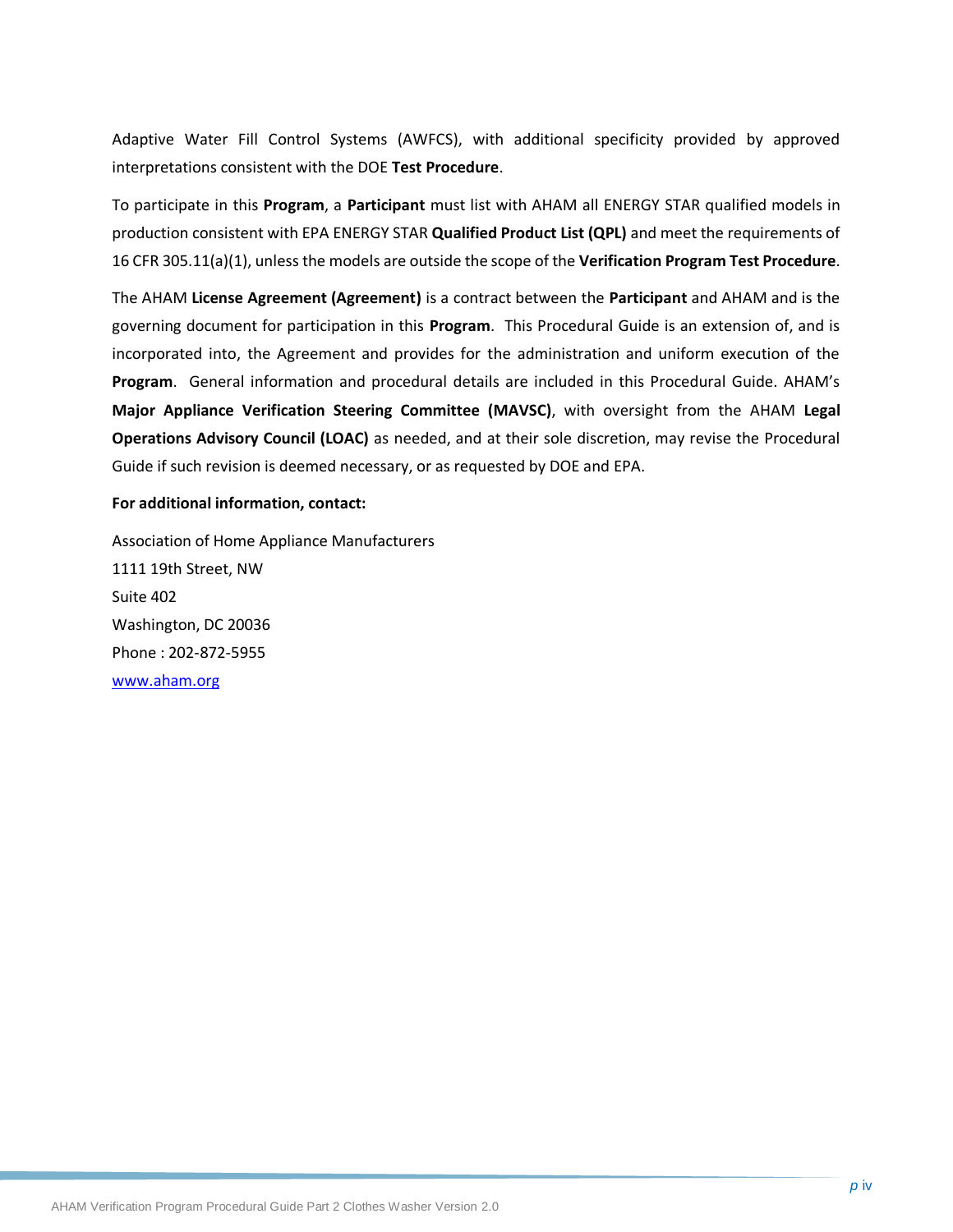Adaptive Water Fill Control Systems (AWFCS), with additional specificity provided by approved interpretations consistent with the DOE **Test Procedure**.

To participate in this **Program**, a **Participant** must list with AHAM all ENERGY STAR qualified models in production consistent with EPA ENERGY STAR **Qualified Product List (QPL)** and meet the requirements of 16 CFR 305.11(a)(1), unless the models are outside the scope of the **Verification Program Test Procedure**.

The AHAM **License Agreement (Agreement)** is a contract between the **Participant** and AHAM and is the governing document for participation in this **Program**. This Procedural Guide is an extension of, and is incorporated into, the Agreement and provides for the administration and uniform execution of the **Program**. General information and procedural details are included in this Procedural Guide. AHAM's **Major Appliance Verification Steering Committee (MAVSC)**, with oversight from the AHAM **Legal Operations Advisory Council (LOAC)** as needed, and at their sole discretion, may revise the Procedural Guide if such revision is deemed necessary, or as requested by DOE and EPA.

#### **For additional information, contact:**

Association of Home Appliance Manufacturers 1111 19th Street, NW Suite 402 Washington, DC 20036 Phone : 202-872-5955 [www.aham.org](http://www.info.org/)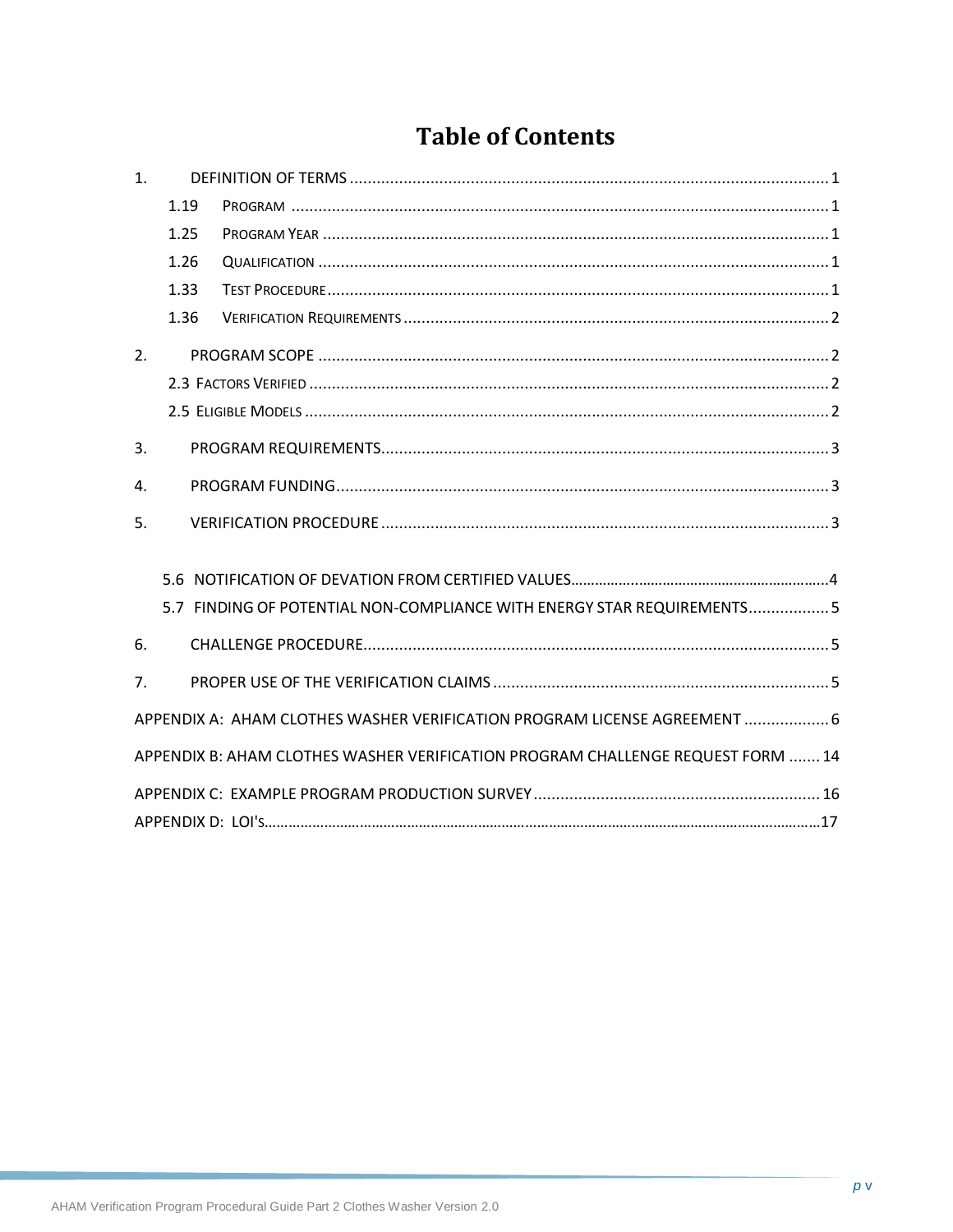# **Table of Contents**

| 1 <sub>1</sub> |      |                                                                                 |
|----------------|------|---------------------------------------------------------------------------------|
|                | 1.19 |                                                                                 |
|                | 1.25 |                                                                                 |
|                | 1.26 |                                                                                 |
|                | 1.33 |                                                                                 |
|                | 1.36 |                                                                                 |
| 2.             |      |                                                                                 |
|                |      |                                                                                 |
|                |      |                                                                                 |
| 3.             |      |                                                                                 |
| $\mathbf{A}$ . |      |                                                                                 |
| 5.             |      |                                                                                 |
|                |      |                                                                                 |
|                |      | 5.7 FINDING OF POTENTIAL NON-COMPLIANCE WITH ENERGY STAR REQUIREMENTS5          |
| 6.             |      |                                                                                 |
| 7 <sub>1</sub> |      |                                                                                 |
|                |      | APPENDIX A: AHAM CLOTHES WASHER VERIFICATION PROGRAM LICENSE AGREEMENT  6       |
|                |      | APPENDIX B: AHAM CLOTHES WASHER VERIFICATION PROGRAM CHALLENGE REQUEST FORM  14 |
|                |      |                                                                                 |
|                |      |                                                                                 |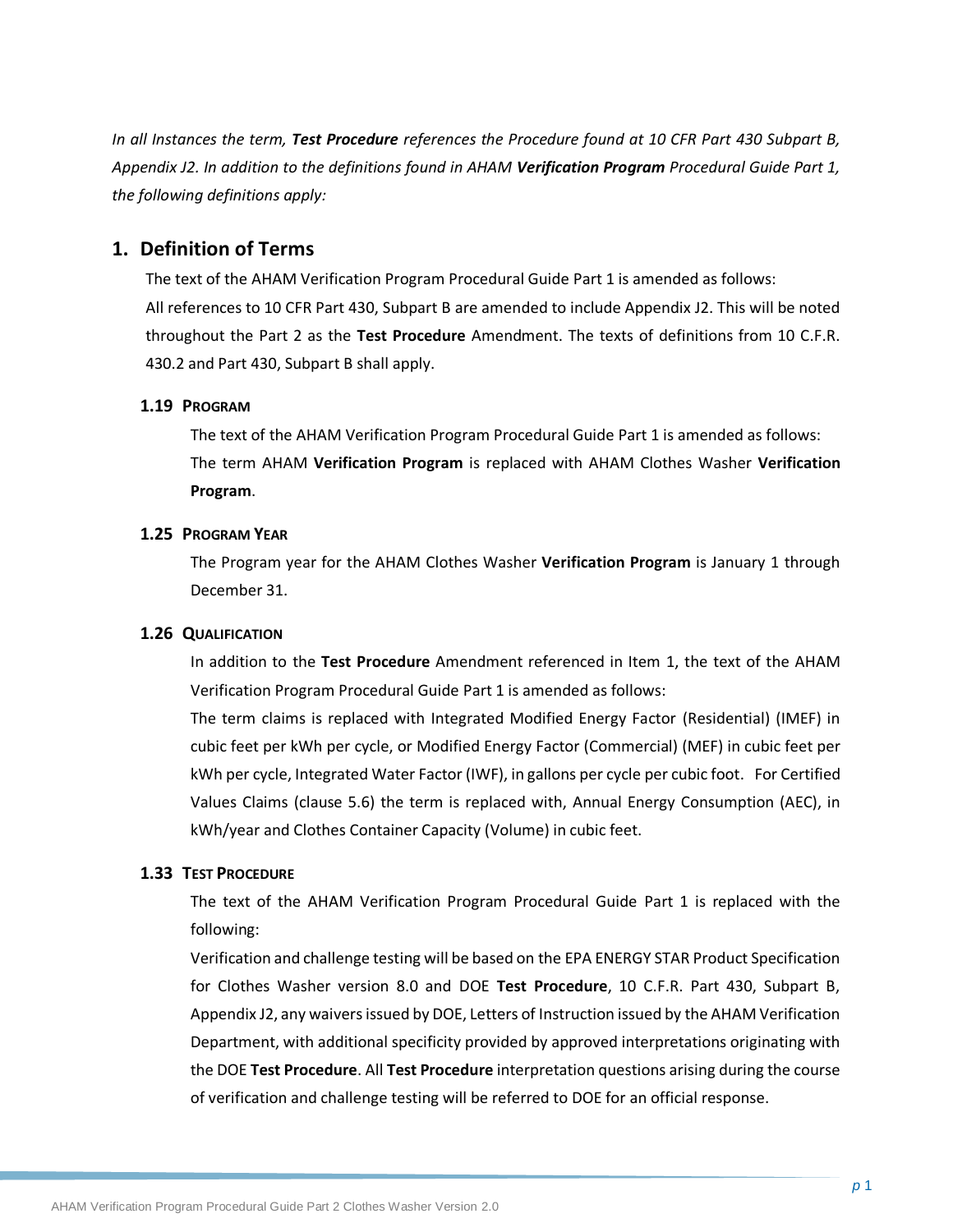*In all Instances the term, Test Procedure references the Procedure found at 10 CFR Part 430 Subpart B, Appendix J2. In addition to the definitions found in AHAM Verification Program Procedural Guide Part 1, the following definitions apply:*

### <span id="page-6-0"></span>**1. Definition of Terms**

The text of the AHAM Verification Program Procedural Guide Part 1 is amended as follows: All references to 10 CFR Part 430, Subpart B are amended to include Appendix J2. This will be noted throughout the Part 2 as the **Test Procedure** Amendment. The texts of definitions from 10 C.F.R. 430.2 and Part 430, Subpart B shall apply.

#### <span id="page-6-1"></span>**1.19 PROGRAM**

The text of the AHAM Verification Program Procedural Guide Part 1 is amended as follows: The term AHAM **Verification Program** is replaced with AHAM Clothes Washer **Verification Program**.

#### <span id="page-6-2"></span>**1.25 PROGRAM YEAR**

The Program year for the AHAM Clothes Washer **Verification Program** is January 1 through December 31.

#### <span id="page-6-3"></span>**1.26 QUALIFICATION**

In addition to the **Test Procedure** Amendment referenced in Item 1, the text of the AHAM Verification Program Procedural Guide Part 1 is amended as follows:

The term claims is replaced with Integrated Modified Energy Factor (Residential) (IMEF) in cubic feet per kWh per cycle, or Modified Energy Factor (Commercial) (MEF) in cubic feet per kWh per cycle, Integrated Water Factor (IWF), in gallons per cycle per cubic foot. For Certified Values Claims (clause 5.6) the term is replaced with, Annual Energy Consumption (AEC), in kWh/year and Clothes Container Capacity (Volume) in cubic feet.

#### <span id="page-6-4"></span>**1.33 TEST PROCEDURE**

The text of the AHAM Verification Program Procedural Guide Part 1 is replaced with the following:

Verification and challenge testing will be based on the EPA ENERGY STAR Product Specification for Clothes Washer version 8.0 and DOE **Test Procedure**, 10 C.F.R. Part 430, Subpart B, Appendix J2, any waivers issued by DOE, Letters of Instruction issued by the AHAM Verification Department, with additional specificity provided by approved interpretations originating with the DOE **Test Procedure**. All **Test Procedure** interpretation questions arising during the course of verification and challenge testing will be referred to DOE for an official response.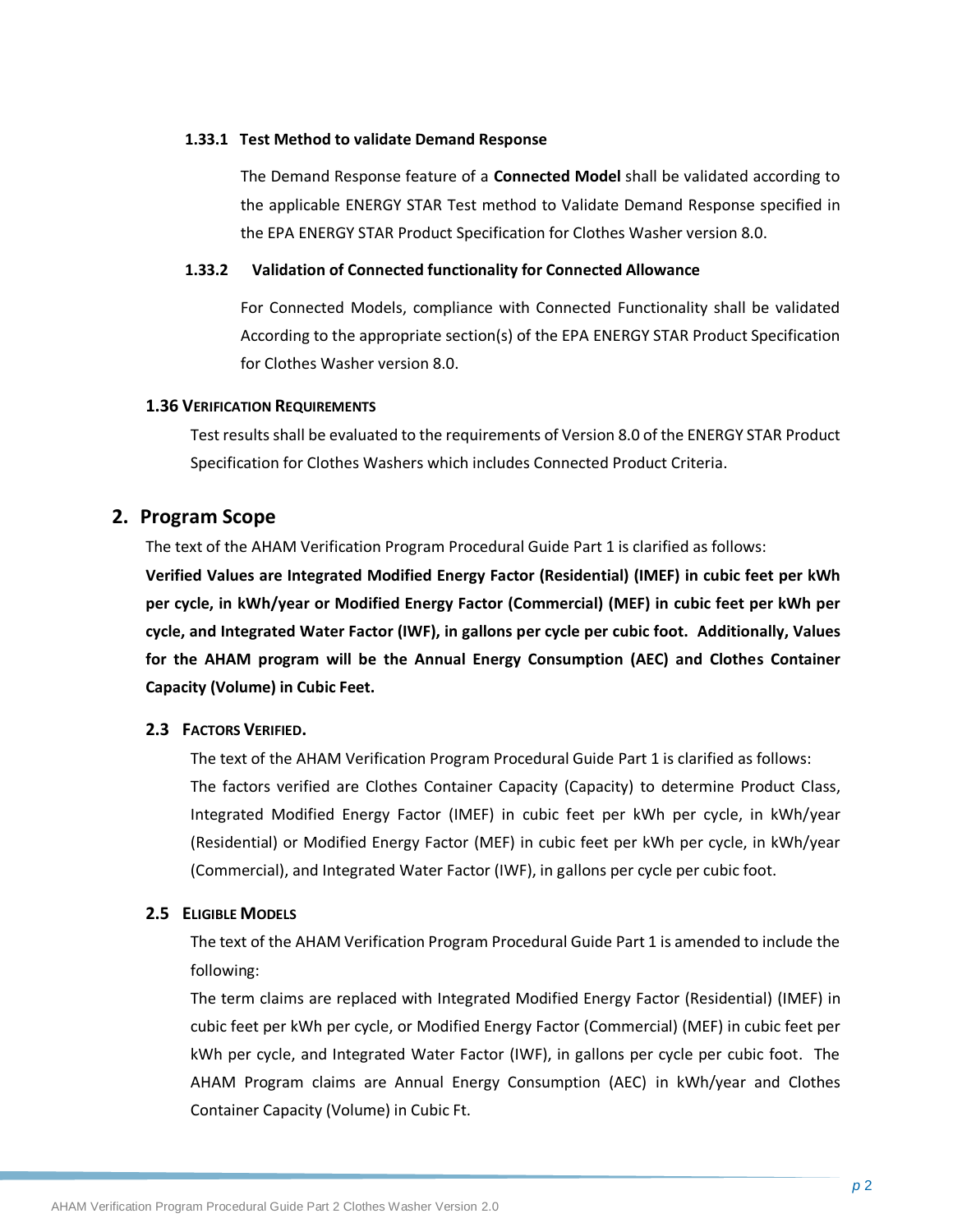#### **1.33.1 Test Method to validate Demand Response**

The Demand Response feature of a **Connected Model** shall be validated according to the applicable ENERGY STAR Test method to Validate Demand Response specified in the EPA ENERGY STAR Product Specification for Clothes Washer version 8.0.

#### **1.33.2 Validation of Connected functionality for Connected Allowance**

For Connected Models, compliance with Connected Functionality shall be validated According to the appropriate section(s) of the EPA ENERGY STAR Product Specification for Clothes Washer version 8.0.

#### <span id="page-7-0"></span>**1.36 VERIFICATION REQUIREMENTS**

Test results shall be evaluated to the requirements of Version 8.0 of the ENERGY STAR Product Specification for Clothes Washers which includes Connected Product Criteria.

## <span id="page-7-1"></span>**2. Program Scope**

The text of the AHAM Verification Program Procedural Guide Part 1 is clarified as follows:

**Verified Values are Integrated Modified Energy Factor (Residential) (IMEF) in cubic feet per kWh per cycle, in kWh/year or Modified Energy Factor (Commercial) (MEF) in cubic feet per kWh per cycle, and Integrated Water Factor (IWF), in gallons per cycle per cubic foot. Additionally, Values for the AHAM program will be the Annual Energy Consumption (AEC) and Clothes Container Capacity (Volume) in Cubic Feet.**

### <span id="page-7-2"></span>**2.3 FACTORS VERIFIED.**

The text of the AHAM Verification Program Procedural Guide Part 1 is clarified as follows: The factors verified are Clothes Container Capacity (Capacity) to determine Product Class, Integrated Modified Energy Factor (IMEF) in cubic feet per kWh per cycle, in kWh/year (Residential) or Modified Energy Factor (MEF) in cubic feet per kWh per cycle, in kWh/year (Commercial), and Integrated Water Factor (IWF), in gallons per cycle per cubic foot.

### <span id="page-7-3"></span>**2.5 ELIGIBLE MODELS**

The text of the AHAM Verification Program Procedural Guide Part 1 is amended to include the following:

The term claims are replaced with Integrated Modified Energy Factor (Residential) (IMEF) in cubic feet per kWh per cycle, or Modified Energy Factor (Commercial) (MEF) in cubic feet per kWh per cycle, and Integrated Water Factor (IWF), in gallons per cycle per cubic foot. The AHAM Program claims are Annual Energy Consumption (AEC) in kWh/year and Clothes Container Capacity (Volume) in Cubic Ft.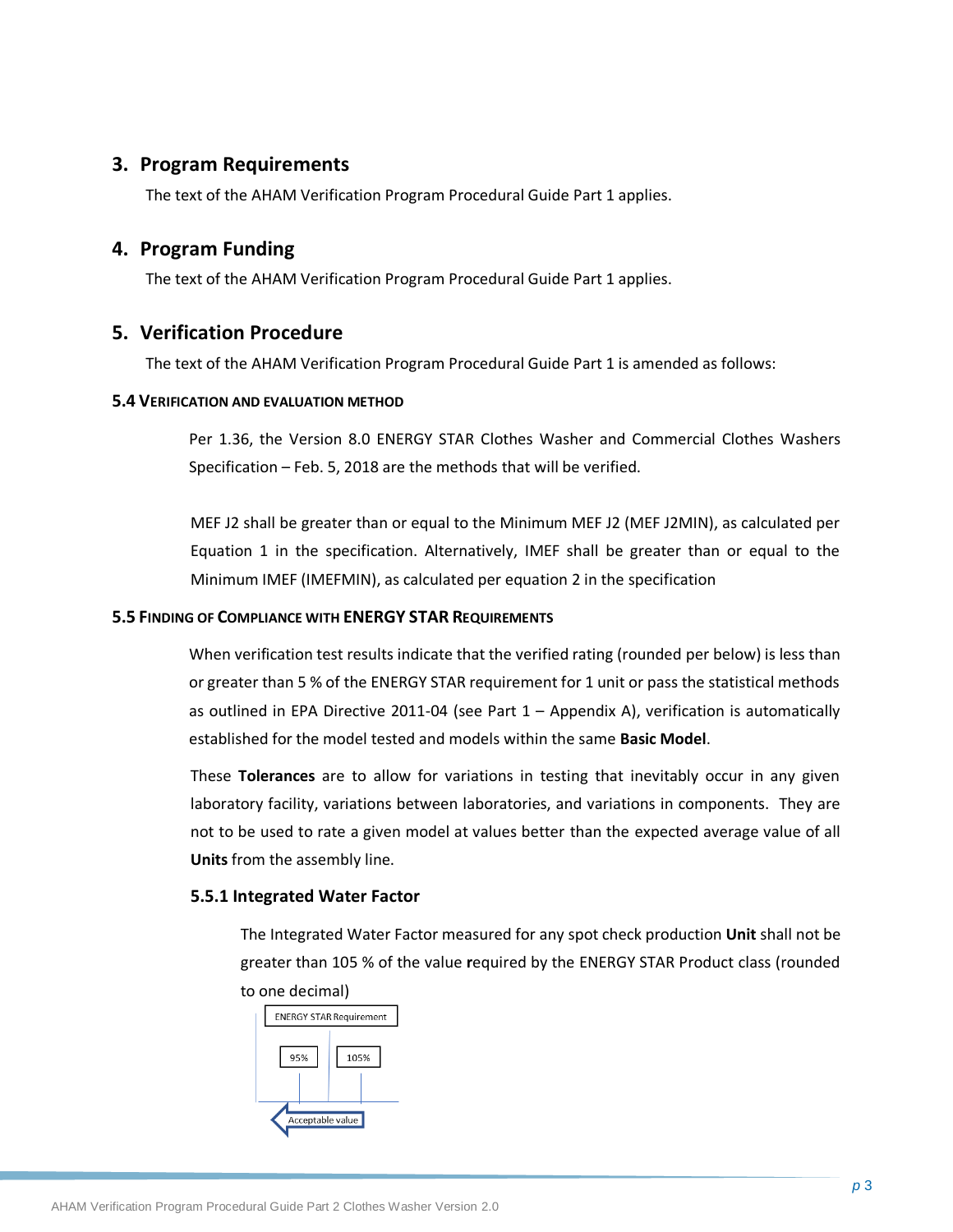## <span id="page-8-0"></span>**3. Program Requirements**

The text of the AHAM Verification Program Procedural Guide Part 1 applies.

## <span id="page-8-1"></span>**4. Program Funding**

The text of the AHAM Verification Program Procedural Guide Part 1 applies.

## <span id="page-8-2"></span>**5. Verification Procedure**

The text of the AHAM Verification Program Procedural Guide Part 1 is amended as follows:

#### **5.4 VERIFICATION AND EVALUATION METHOD**

Per 1.36, the Version 8.0 ENERGY STAR Clothes Washer and Commercial Clothes Washers Specification – Feb. 5, 2018 are the methods that will be verified.

MEF J2 shall be greater than or equal to the Minimum MEF J2 (MEF J2MIN), as calculated per Equation 1 in the specification. Alternatively, IMEF shall be greater than or equal to the Minimum IMEF (IMEFMIN), as calculated per equation 2 in the specification

#### **5.5 FINDING OF COMPLIANCE WITH ENERGY STAR REQUIREMENTS**

When verification test results indicate that the verified rating (rounded per below) is less than or greater than 5 % of the ENERGY STAR requirement for 1 unit or pass the statistical methods as outlined in EPA Directive 2011-04 (see Part 1 – Appendix A), verification is automatically established for the model tested and models within the same **Basic Model**.

These **Tolerances** are to allow for variations in testing that inevitably occur in any given laboratory facility, variations between laboratories, and variations in components. They are not to be used to rate a given model at values better than the expected average value of all **Units** from the assembly line.

### **5.5.1 Integrated Water Factor**

The Integrated Water Factor measured for any spot check production **Unit** shall not be greater than 105 % of the value **r**equired by the ENERGY STAR Product class (rounded to one decimal)

|                  | <b>ENERGY STAR Requirement</b> |
|------------------|--------------------------------|
| 95%              | 105%                           |
| Acceptable value |                                |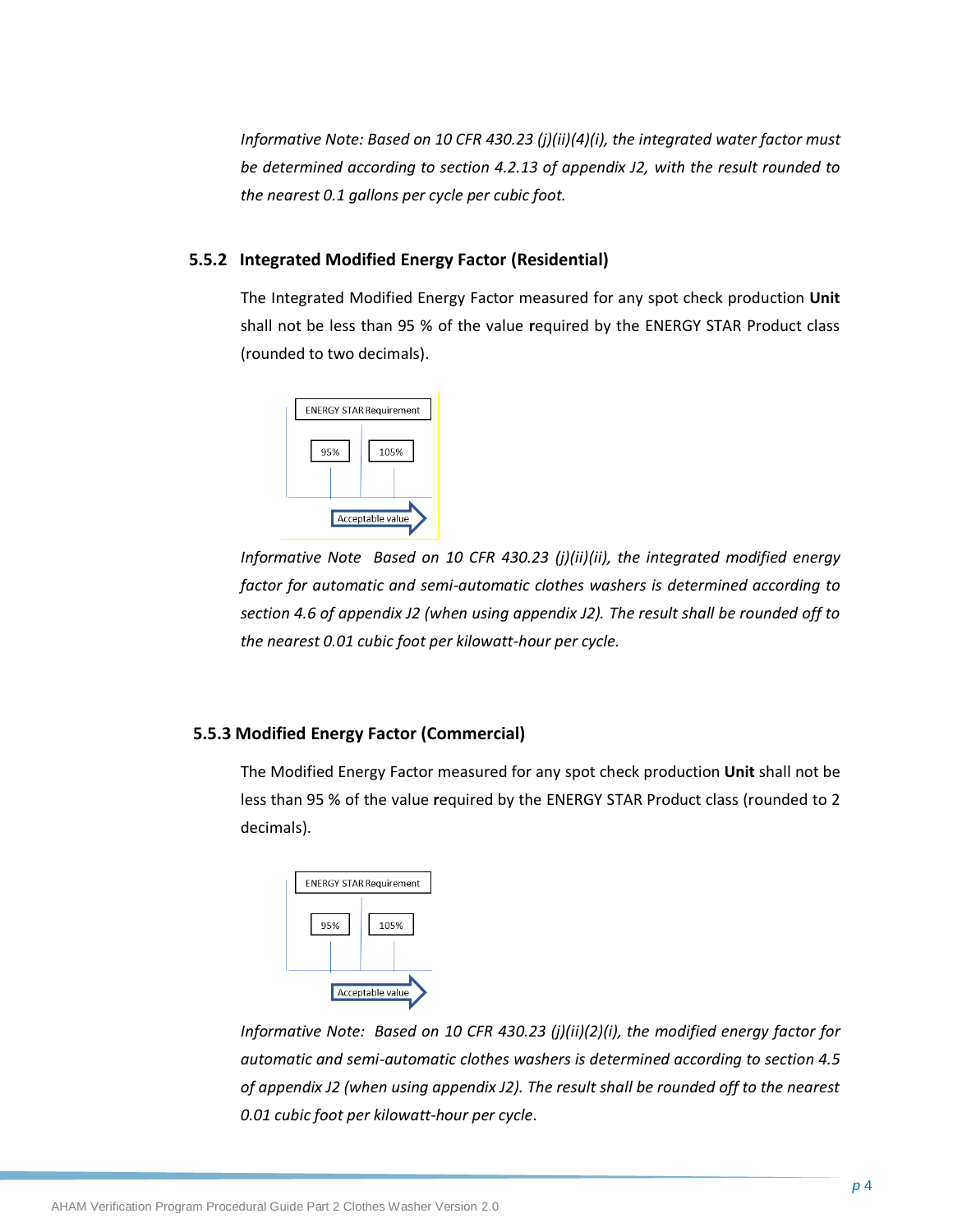*Informative Note: Based on 10 CFR 430.23 (j)(ii)(4)(i), the integrated water factor must be determined according to section 4.2.13 of appendix J2, with the result rounded to the nearest 0.1 gallons per cycle per cubic foot.*

#### **5.5.2 Integrated Modified Energy Factor (Residential)**

The Integrated Modified Energy Factor measured for any spot check production **Unit** shall not be less than 95 % of the value **r**equired by the ENERGY STAR Product class (rounded to two decimals).



*Informative Note Based on 10 CFR 430.23 (j)(ii)(ii), the integrated modified energy factor for automatic and semi-automatic clothes washers is determined according to section 4.6 of appendix J2 (when using appendix J2). The result shall be rounded off to the nearest 0.01 cubic foot per kilowatt-hour per cycle.*

#### **5.5.3 Modified Energy Factor (Commercial)**

The Modified Energy Factor measured for any spot check production **Unit** shall not be less than 95 % of the value **r**equired by the ENERGY STAR Product class (rounded to 2 decimals).

|     | <b>ENERGY STAR Requirement</b> |
|-----|--------------------------------|
| 95% | 105%                           |
|     | Acceptable value               |

*Informative Note: Based on 10 CFR 430.23 (j)(ii)(2)(i), the modified energy factor for automatic and semi-automatic clothes washers is determined according to section 4.5 of appendix J2 (when using appendix J2). The result shall be rounded off to the nearest 0.01 cubic foot per kilowatt-hour per cycle*.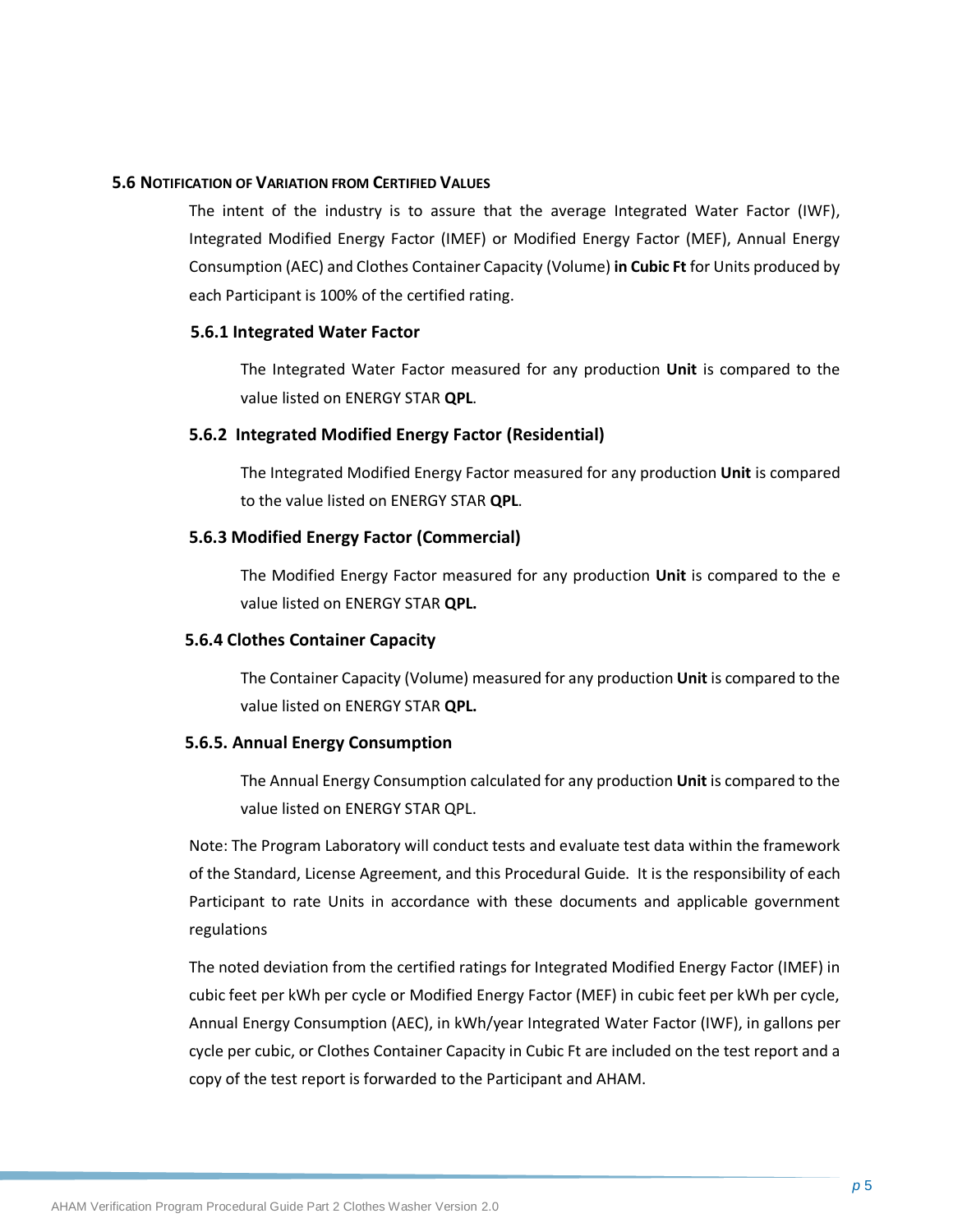#### **5.6 NOTIFICATION OF VARIATION FROM CERTIFIED VALUES**

The intent of the industry is to assure that the average Integrated Water Factor (IWF), Integrated Modified Energy Factor (IMEF) or Modified Energy Factor (MEF), Annual Energy Consumption (AEC) and Clothes Container Capacity (Volume) **in Cubic Ft** for Units produced by each Participant is 100% of the certified rating.

#### **5.6.1 Integrated Water Factor**

The Integrated Water Factor measured for any production **Unit** is compared to the value listed on ENERGY STAR **QPL**.

#### **5.6.2 Integrated Modified Energy Factor (Residential)**

The Integrated Modified Energy Factor measured for any production **Unit** is compared to the value listed on ENERGY STAR **QPL**.

#### **5.6.3 Modified Energy Factor (Commercial)**

The Modified Energy Factor measured for any production **Unit** is compared to the e value listed on ENERGY STAR **QPL.**

#### **5.6.4 Clothes Container Capacity**

The Container Capacity (Volume) measured for any production **Unit** is compared to the value listed on ENERGY STAR **QPL.**

#### **5.6.5. Annual Energy Consumption**

The Annual Energy Consumption calculated for any production **Unit** is compared to the value listed on ENERGY STAR QPL.

Note: The Program Laboratory will conduct tests and evaluate test data within the framework of the Standard, License Agreement, and this Procedural Guide. It is the responsibility of each Participant to rate Units in accordance with these documents and applicable government regulations

The noted deviation from the certified ratings for Integrated Modified Energy Factor (IMEF) in cubic feet per kWh per cycle or Modified Energy Factor (MEF) in cubic feet per kWh per cycle, Annual Energy Consumption (AEC), in kWh/year Integrated Water Factor (IWF), in gallons per cycle per cubic, or Clothes Container Capacity in Cubic Ft are included on the test report and a copy of the test report is forwarded to the Participant and AHAM.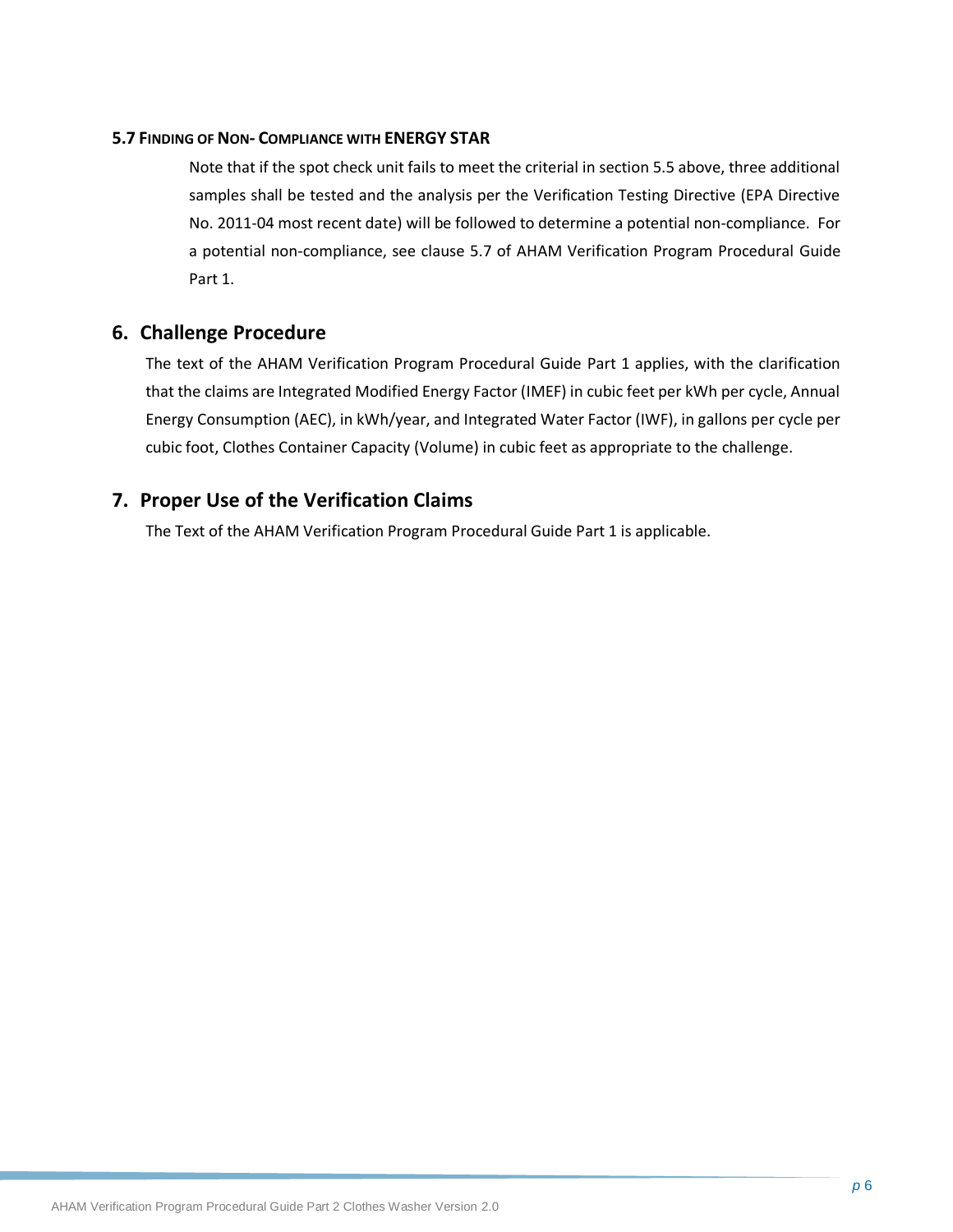#### **5.7 FINDING OF NON- COMPLIANCE WITH ENERGY STAR**

Note that if the spot check unit fails to meet the criterial in section 5.5 above, three additional samples shall be tested and the analysis per the Verification Testing Directive (EPA Directive No. 2011-04 most recent date) will be followed to determine a potential non-compliance. For a potential non-compliance, see clause 5.7 of AHAM Verification Program Procedural Guide Part 1.

### <span id="page-11-0"></span>**6. Challenge Procedure**

The text of the AHAM Verification Program Procedural Guide Part 1 applies, with the clarification that the claims are Integrated Modified Energy Factor (IMEF) in cubic feet per kWh per cycle, Annual Energy Consumption (AEC), in kWh/year, and Integrated Water Factor (IWF), in gallons per cycle per cubic foot, Clothes Container Capacity (Volume) in cubic feet as appropriate to the challenge.

## <span id="page-11-1"></span>**7. Proper Use of the Verification Claims**

<span id="page-11-2"></span>The Text of the AHAM Verification Program Procedural Guide Part 1 is applicable.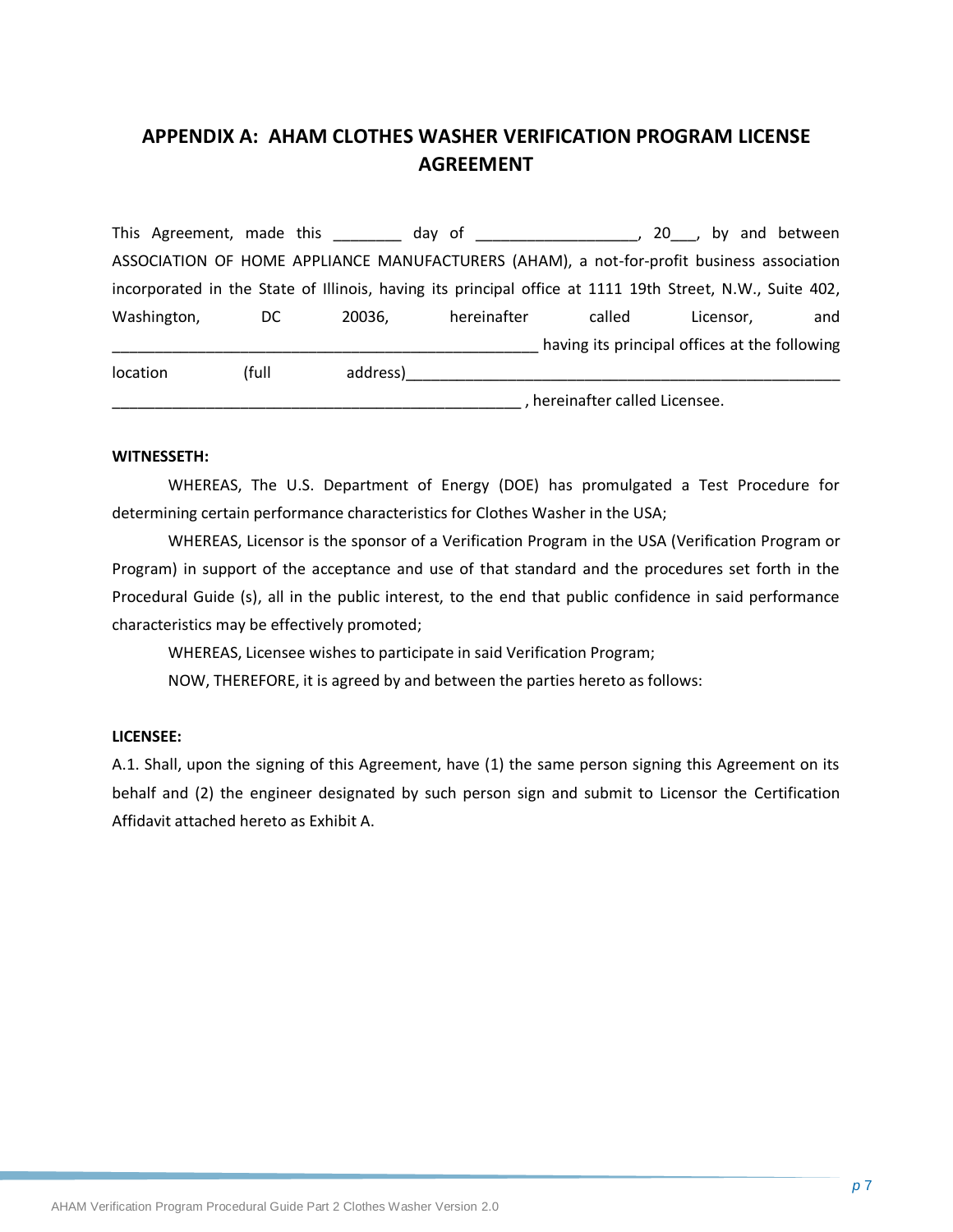## **APPENDIX A: AHAM CLOTHES WASHER VERIFICATION PROGRAM LICENSE AGREEMENT**

This Agreement, made this this day of this allows the set of the set of the set of the set of the set of the s ASSOCIATION OF HOME APPLIANCE MANUFACTURERS (AHAM), a not-for-profit business association incorporated in the State of Illinois, having its principal office at 1111 19th Street, N.W., Suite 402, Washington, DC 20036, hereinafter called Licensor, and \_\_\_\_\_\_\_\_\_\_\_\_\_\_\_\_\_\_\_\_\_\_\_\_\_\_\_\_\_\_\_\_\_\_\_\_\_\_\_\_\_\_\_\_\_\_\_\_\_\_ having its principal offices at the following location (full address)\_\_\_\_\_\_\_\_\_\_\_\_\_\_\_\_\_\_\_\_\_\_\_\_\_\_\_\_\_\_\_\_\_\_\_\_\_\_\_\_\_\_\_\_\_\_\_\_\_\_\_

\_\_\_\_\_\_\_\_\_\_\_\_\_\_\_\_\_\_\_\_\_\_\_\_\_\_\_\_\_\_\_\_\_\_\_\_\_\_\_\_\_\_\_\_\_\_\_\_ , hereinafter called Licensee.

#### **WITNESSETH:**

WHEREAS, The U.S. Department of Energy (DOE) has promulgated a Test Procedure for determining certain performance characteristics for Clothes Washer in the USA;

WHEREAS, Licensor is the sponsor of a Verification Program in the USA (Verification Program or Program) in support of the acceptance and use of that standard and the procedures set forth in the Procedural Guide (s), all in the public interest, to the end that public confidence in said performance characteristics may be effectively promoted;

WHEREAS, Licensee wishes to participate in said Verification Program;

NOW, THEREFORE, it is agreed by and between the parties hereto as follows:

#### **LICENSEE:**

A.1. Shall, upon the signing of this Agreement, have (1) the same person signing this Agreement on its behalf and (2) the engineer designated by such person sign and submit to Licensor the Certification Affidavit attached hereto as Exhibit A.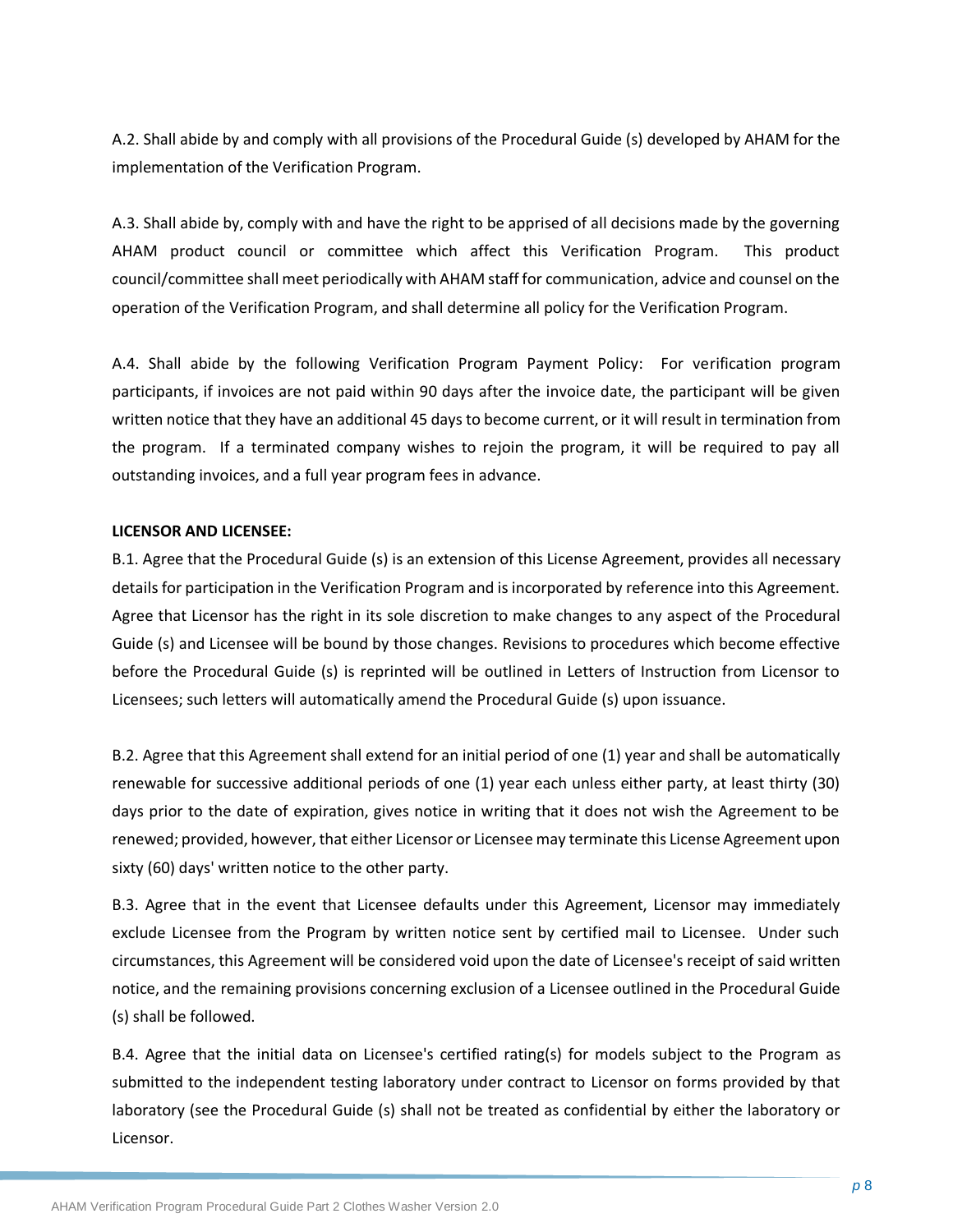A.2. Shall abide by and comply with all provisions of the Procedural Guide (s) developed by AHAM for the implementation of the Verification Program.

A.3. Shall abide by, comply with and have the right to be apprised of all decisions made by the governing AHAM product council or committee which affect this Verification Program. This product council/committee shall meet periodically with AHAM staff for communication, advice and counsel on the operation of the Verification Program, and shall determine all policy for the Verification Program.

A.4. Shall abide by the following Verification Program Payment Policy: For verification program participants, if invoices are not paid within 90 days after the invoice date, the participant will be given written notice that they have an additional 45 days to become current, or it will result in termination from the program. If a terminated company wishes to rejoin the program, it will be required to pay all outstanding invoices, and a full year program fees in advance.

#### **LICENSOR AND LICENSEE:**

B.1. Agree that the Procedural Guide (s) is an extension of this License Agreement, provides all necessary details for participation in the Verification Program and is incorporated by reference into this Agreement. Agree that Licensor has the right in its sole discretion to make changes to any aspect of the Procedural Guide (s) and Licensee will be bound by those changes. Revisions to procedures which become effective before the Procedural Guide (s) is reprinted will be outlined in Letters of Instruction from Licensor to Licensees; such letters will automatically amend the Procedural Guide (s) upon issuance.

B.2. Agree that this Agreement shall extend for an initial period of one (1) year and shall be automatically renewable for successive additional periods of one (1) year each unless either party, at least thirty (30) days prior to the date of expiration, gives notice in writing that it does not wish the Agreement to be renewed; provided, however, that either Licensor or Licensee may terminate this License Agreement upon sixty (60) days' written notice to the other party.

B.3. Agree that in the event that Licensee defaults under this Agreement, Licensor may immediately exclude Licensee from the Program by written notice sent by certified mail to Licensee. Under such circumstances, this Agreement will be considered void upon the date of Licensee's receipt of said written notice, and the remaining provisions concerning exclusion of a Licensee outlined in the Procedural Guide (s) shall be followed.

B.4. Agree that the initial data on Licensee's certified rating(s) for models subject to the Program as submitted to the independent testing laboratory under contract to Licensor on forms provided by that laboratory (see the Procedural Guide (s) shall not be treated as confidential by either the laboratory or Licensor.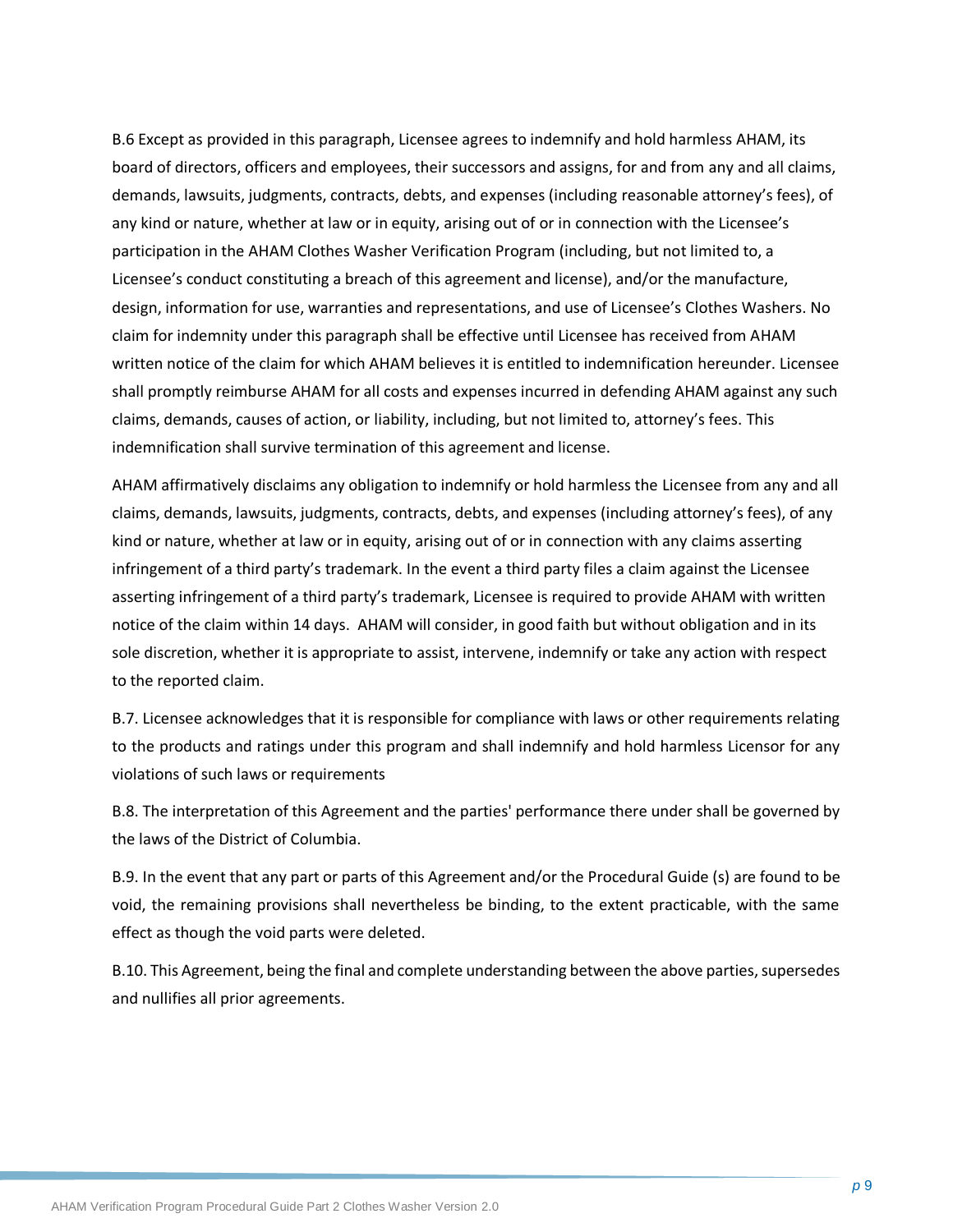B.6 Except as provided in this paragraph, Licensee agrees to indemnify and hold harmless AHAM, its board of directors, officers and employees, their successors and assigns, for and from any and all claims, demands, lawsuits, judgments, contracts, debts, and expenses (including reasonable attorney's fees), of any kind or nature, whether at law or in equity, arising out of or in connection with the Licensee's participation in the AHAM Clothes Washer Verification Program (including, but not limited to, a Licensee's conduct constituting a breach of this agreement and license), and/or the manufacture, design, information for use, warranties and representations, and use of Licensee's Clothes Washers. No claim for indemnity under this paragraph shall be effective until Licensee has received from AHAM written notice of the claim for which AHAM believes it is entitled to indemnification hereunder. Licensee shall promptly reimburse AHAM for all costs and expenses incurred in defending AHAM against any such claims, demands, causes of action, or liability, including, but not limited to, attorney's fees. This indemnification shall survive termination of this agreement and license.

AHAM affirmatively disclaims any obligation to indemnify or hold harmless the Licensee from any and all claims, demands, lawsuits, judgments, contracts, debts, and expenses (including attorney's fees), of any kind or nature, whether at law or in equity, arising out of or in connection with any claims asserting infringement of a third party's trademark. In the event a third party files a claim against the Licensee asserting infringement of a third party's trademark, Licensee is required to provide AHAM with written notice of the claim within 14 days. AHAM will consider, in good faith but without obligation and in its sole discretion, whether it is appropriate to assist, intervene, indemnify or take any action with respect to the reported claim.

B.7. Licensee acknowledges that it is responsible for compliance with laws or other requirements relating to the products and ratings under this program and shall indemnify and hold harmless Licensor for any violations of such laws or requirements

B.8. The interpretation of this Agreement and the parties' performance there under shall be governed by the laws of the District of Columbia.

B.9. In the event that any part or parts of this Agreement and/or the Procedural Guide (s) are found to be void, the remaining provisions shall nevertheless be binding, to the extent practicable, with the same effect as though the void parts were deleted.

B.10. This Agreement, being the final and complete understanding between the above parties, supersedes and nullifies all prior agreements.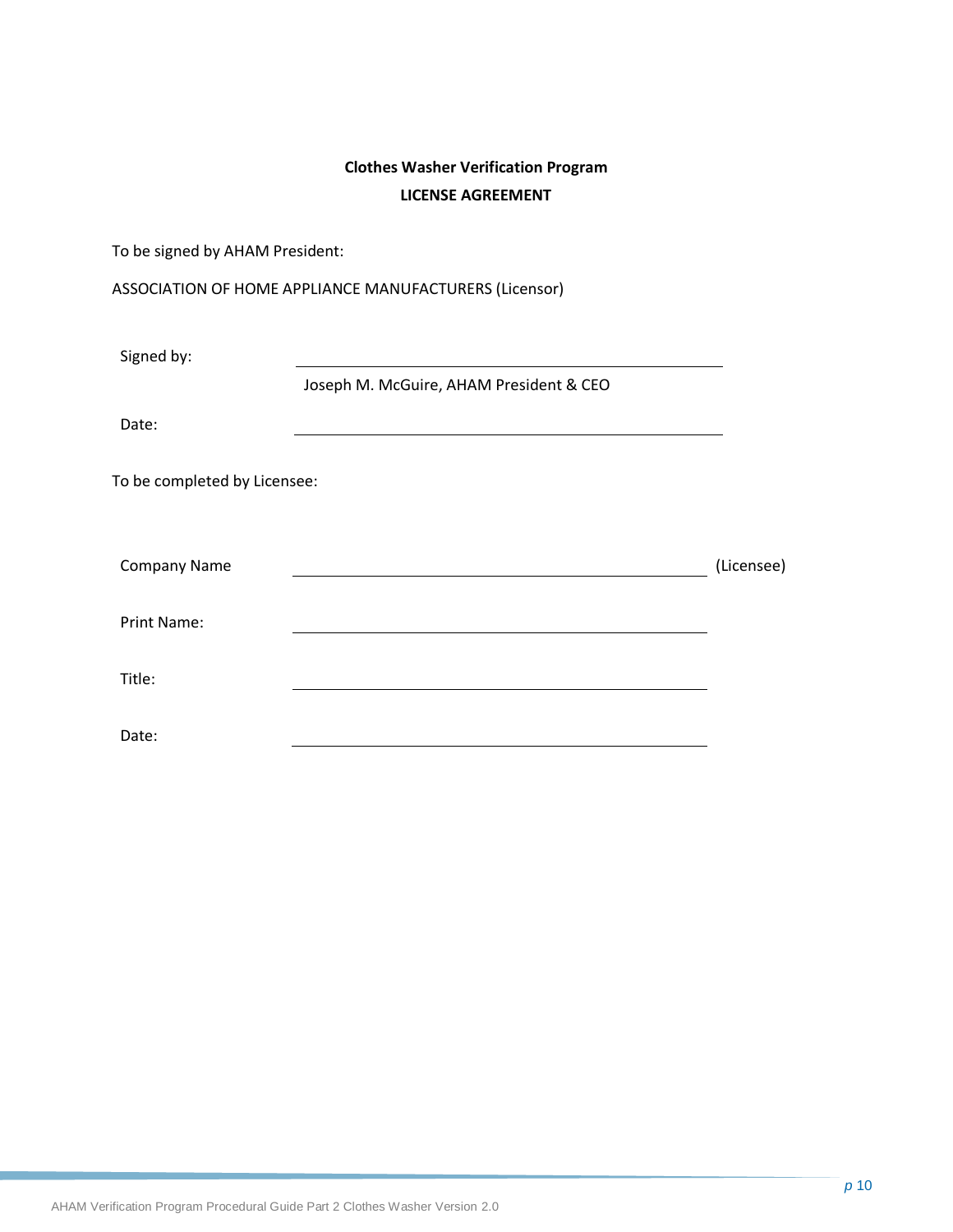## **Clothes Washer Verification Program LICENSE AGREEMENT**

To be signed by AHAM President:

| Signed by:                   |                                         |            |
|------------------------------|-----------------------------------------|------------|
|                              | Joseph M. McGuire, AHAM President & CEO |            |
| Date:                        |                                         |            |
| To be completed by Licensee: |                                         |            |
| <b>Company Name</b>          |                                         | (Licensee) |
| <b>Print Name:</b>           |                                         |            |
| Title:                       |                                         |            |
| Date:                        |                                         |            |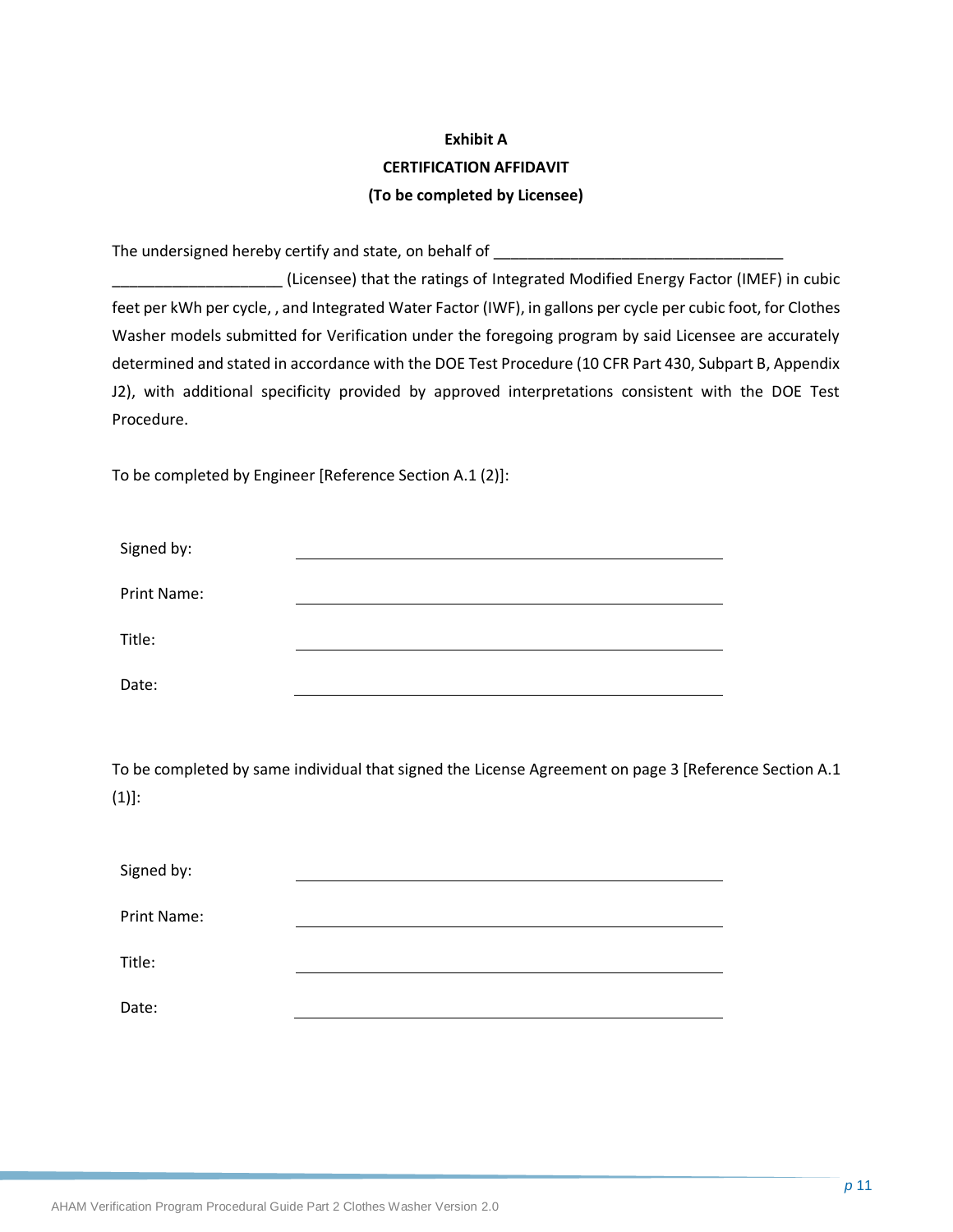## **Exhibit A CERTIFICATION AFFIDAVIT (To be completed by Licensee)**

The undersigned hereby certify and state, on behalf of

\_\_\_\_\_\_\_\_\_\_\_\_\_\_\_\_\_\_\_\_ (Licensee) that the ratings of Integrated Modified Energy Factor (IMEF) in cubic feet per kWh per cycle, , and Integrated Water Factor (IWF), in gallons per cycle per cubic foot, for Clothes Washer models submitted for Verification under the foregoing program by said Licensee are accurately determined and stated in accordance with the DOE Test Procedure (10 CFR Part 430, Subpart B, Appendix J2), with additional specificity provided by approved interpretations consistent with the DOE Test Procedure.

To be completed by Engineer [Reference Section A.1 (2)]:

| Signed by:         |  |
|--------------------|--|
| <b>Print Name:</b> |  |
| Title:             |  |
| Date:              |  |

To be completed by same individual that signed the License Agreement on page 3 [Reference Section A.1  $(1)$ :

| Signed by:         |  |
|--------------------|--|
| <b>Print Name:</b> |  |
| Title:             |  |
| Date:              |  |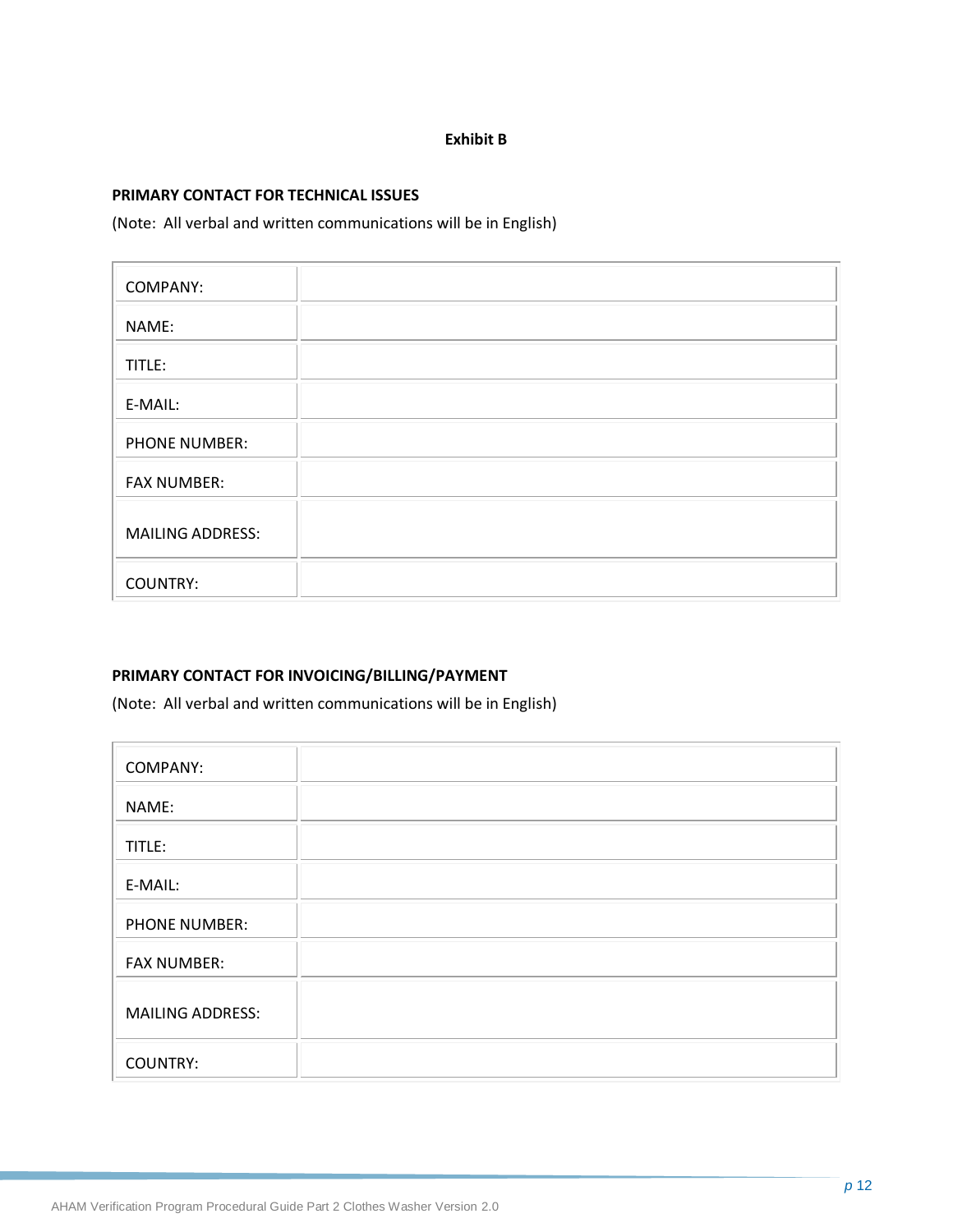#### **Exhibit B**

#### **PRIMARY CONTACT FOR TECHNICAL ISSUES**

(Note: All verbal and written communications will be in English)

| <b>COMPANY:</b>         |  |
|-------------------------|--|
| NAME:                   |  |
| TITLE:                  |  |
| E-MAIL:                 |  |
| <b>PHONE NUMBER:</b>    |  |
| <b>FAX NUMBER:</b>      |  |
| <b>MAILING ADDRESS:</b> |  |
| <b>COUNTRY:</b>         |  |

#### **PRIMARY CONTACT FOR INVOICING/BILLING/PAYMENT**

(Note: All verbal and written communications will be in English)

| <b>COMPANY:</b>         |  |
|-------------------------|--|
| NAME:                   |  |
| TITLE:                  |  |
| E-MAIL:                 |  |
| <b>PHONE NUMBER:</b>    |  |
| <b>FAX NUMBER:</b>      |  |
| <b>MAILING ADDRESS:</b> |  |
| <b>COUNTRY:</b>         |  |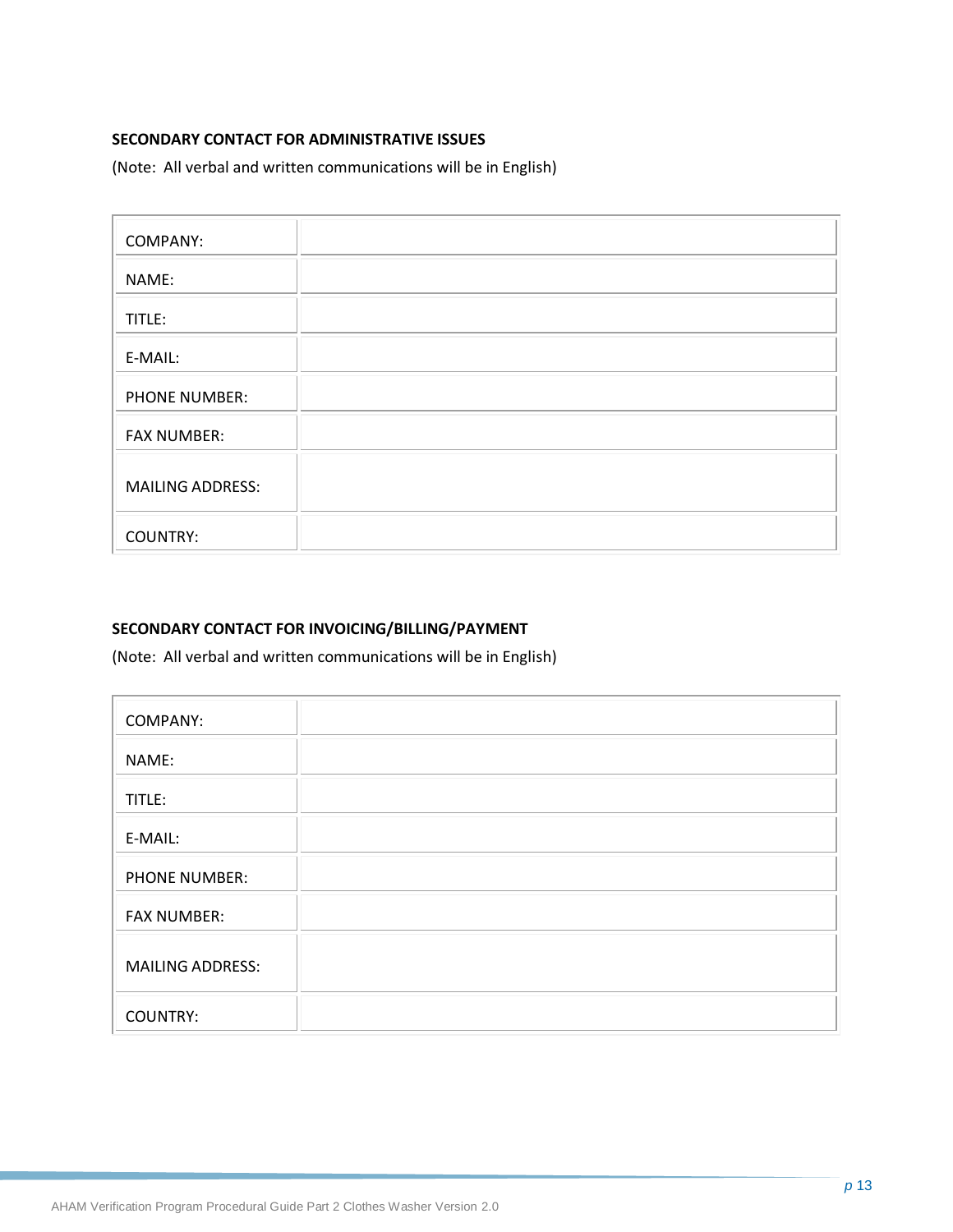### **SECONDARY CONTACT FOR ADMINISTRATIVE ISSUES**

(Note: All verbal and written communications will be in English)

| <b>COMPANY:</b>         |  |
|-------------------------|--|
| NAME:                   |  |
| TITLE:                  |  |
| E-MAIL:                 |  |
| <b>PHONE NUMBER:</b>    |  |
| <b>FAX NUMBER:</b>      |  |
| <b>MAILING ADDRESS:</b> |  |
| <b>COUNTRY:</b>         |  |

#### **SECONDARY CONTACT FOR INVOICING/BILLING/PAYMENT**

(Note: All verbal and written communications will be in English)

| <b>COMPANY:</b>         |  |
|-------------------------|--|
| NAME:                   |  |
| TITLE:                  |  |
| E-MAIL:                 |  |
| <b>PHONE NUMBER:</b>    |  |
| <b>FAX NUMBER:</b>      |  |
| <b>MAILING ADDRESS:</b> |  |
| <b>COUNTRY:</b>         |  |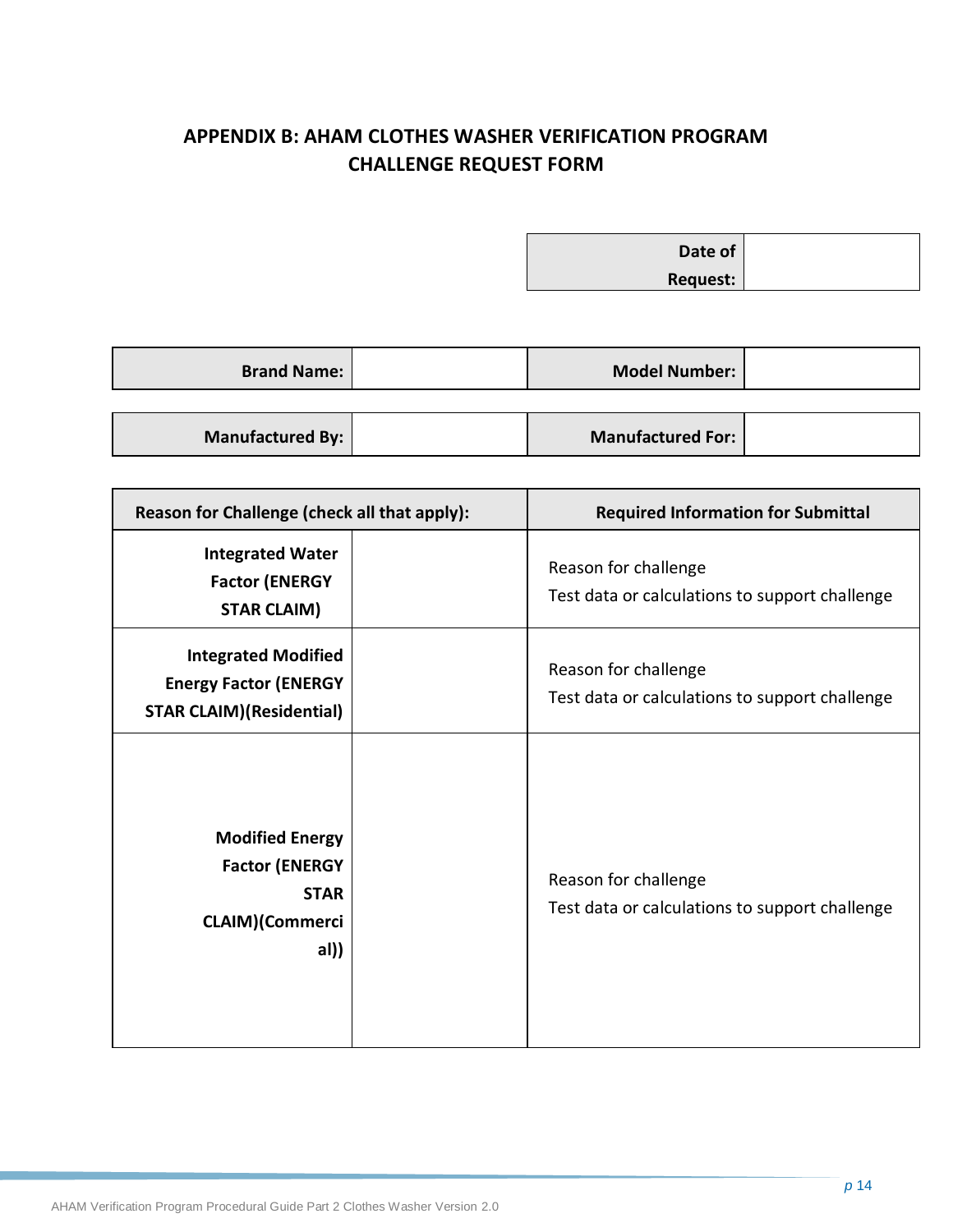## <span id="page-19-0"></span>**APPENDIX B: AHAM CLOTHES WASHER VERIFICATION PROGRAM CHALLENGE REQUEST FORM**

**Date of Request:**

| <b>Brand Name:</b> | <b>Model Number:</b>     |  |
|--------------------|--------------------------|--|
|                    |                          |  |
| Manufactured By:   | <b>Manufactured For:</b> |  |

| Reason for Challenge (check all that apply):                                                    | <b>Required Information for Submittal</b>                              |
|-------------------------------------------------------------------------------------------------|------------------------------------------------------------------------|
| <b>Integrated Water</b><br><b>Factor (ENERGY</b><br><b>STAR CLAIM)</b>                          | Reason for challenge<br>Test data or calculations to support challenge |
| <b>Integrated Modified</b><br><b>Energy Factor (ENERGY</b><br><b>STAR CLAIM)(Residential)</b>   | Reason for challenge<br>Test data or calculations to support challenge |
| <b>Modified Energy</b><br><b>Factor (ENERGY</b><br><b>STAR</b><br><b>CLAIM)(Commerci</b><br>al) | Reason for challenge<br>Test data or calculations to support challenge |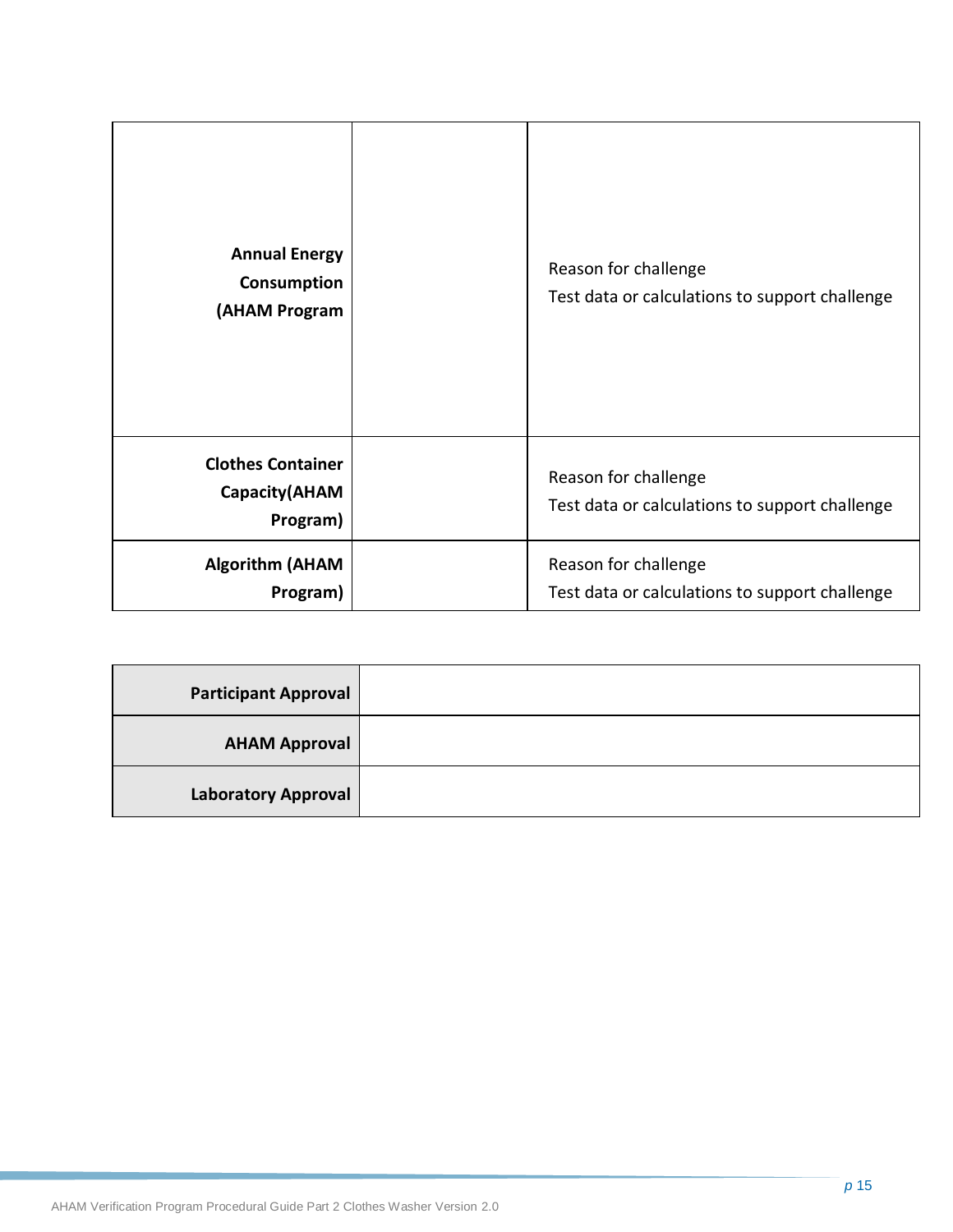| <b>Annual Energy</b><br>Consumption<br>(AHAM Program  | Reason for challenge<br>Test data or calculations to support challenge |
|-------------------------------------------------------|------------------------------------------------------------------------|
| <b>Clothes Container</b><br>Capacity(AHAM<br>Program) | Reason for challenge<br>Test data or calculations to support challenge |
| <b>Algorithm (AHAM</b><br>Program)                    | Reason for challenge<br>Test data or calculations to support challenge |

| <b>Participant Approval</b> |  |
|-----------------------------|--|
| <b>AHAM Approval</b>        |  |
| <b>Laboratory Approval</b>  |  |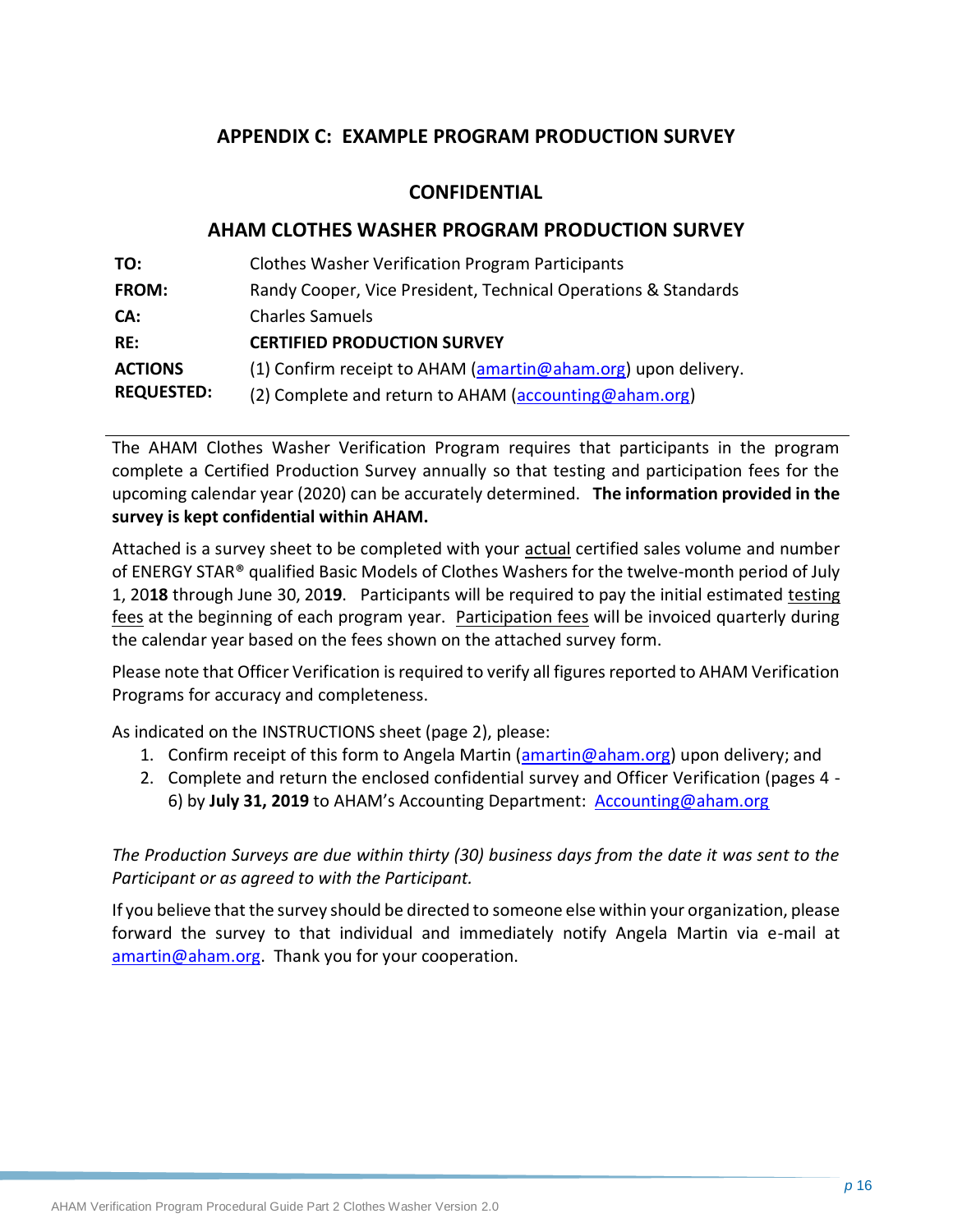## <span id="page-21-0"></span>**APPENDIX C: EXAMPLE PROGRAM PRODUCTION SURVEY**

## **CONFIDENTIAL**

## **AHAM CLOTHES WASHER PROGRAM PRODUCTION SURVEY**

| TO:               | <b>Clothes Washer Verification Program Participants</b>        |
|-------------------|----------------------------------------------------------------|
| <b>FROM:</b>      | Randy Cooper, Vice President, Technical Operations & Standards |
| CA:               | <b>Charles Samuels</b>                                         |
| RE:               | <b>CERTIFIED PRODUCTION SURVEY</b>                             |
| <b>ACTIONS</b>    | (1) Confirm receipt to AHAM (amartin@aham.org) upon delivery.  |
| <b>REQUESTED:</b> | (2) Complete and return to AHAM (accounting@aham.org)          |

The AHAM Clothes Washer Verification Program requires that participants in the program complete a Certified Production Survey annually so that testing and participation fees for the upcoming calendar year (2020) can be accurately determined. **The information provided in the survey is kept confidential within AHAM.** 

Attached is a survey sheet to be completed with your actual certified sales volume and number of ENERGY STAR® qualified Basic Models of Clothes Washers for the twelve-month period of July 1, 20**18** through June 30, 20**19**. Participants will be required to pay the initial estimated testing fees at the beginning of each program year. Participation fees will be invoiced quarterly during the calendar year based on the fees shown on the attached survey form.

Please note that Officer Verification is required to verify all figures reported to AHAM Verification Programs for accuracy and completeness.

As indicated on the INSTRUCTIONS sheet (page 2), please:

- 1. Confirm receipt of this form to Angela Martin [\(amartin@aham.org\)](mailto:jbibins@aham.org) upon delivery; and
- 2. Complete and return the enclosed confidential survey and Officer Verification (pages 4 6) by **July 31, 2019** to AHAM's Accounting Department: [Accounting@aham.org](mailto:Accounting@aham.org)

*The Production Surveys are due within thirty (30) business days from the date it was sent to the Participant or as agreed to with the Participant.*

If you believe that the survey should be directed to someone else within your organization, please forward the survey to that individual and immediately notify Angela Martin via e-mail at [amartin@aham.org.](mailto:jbibins@aham.org) Thank you for your cooperation.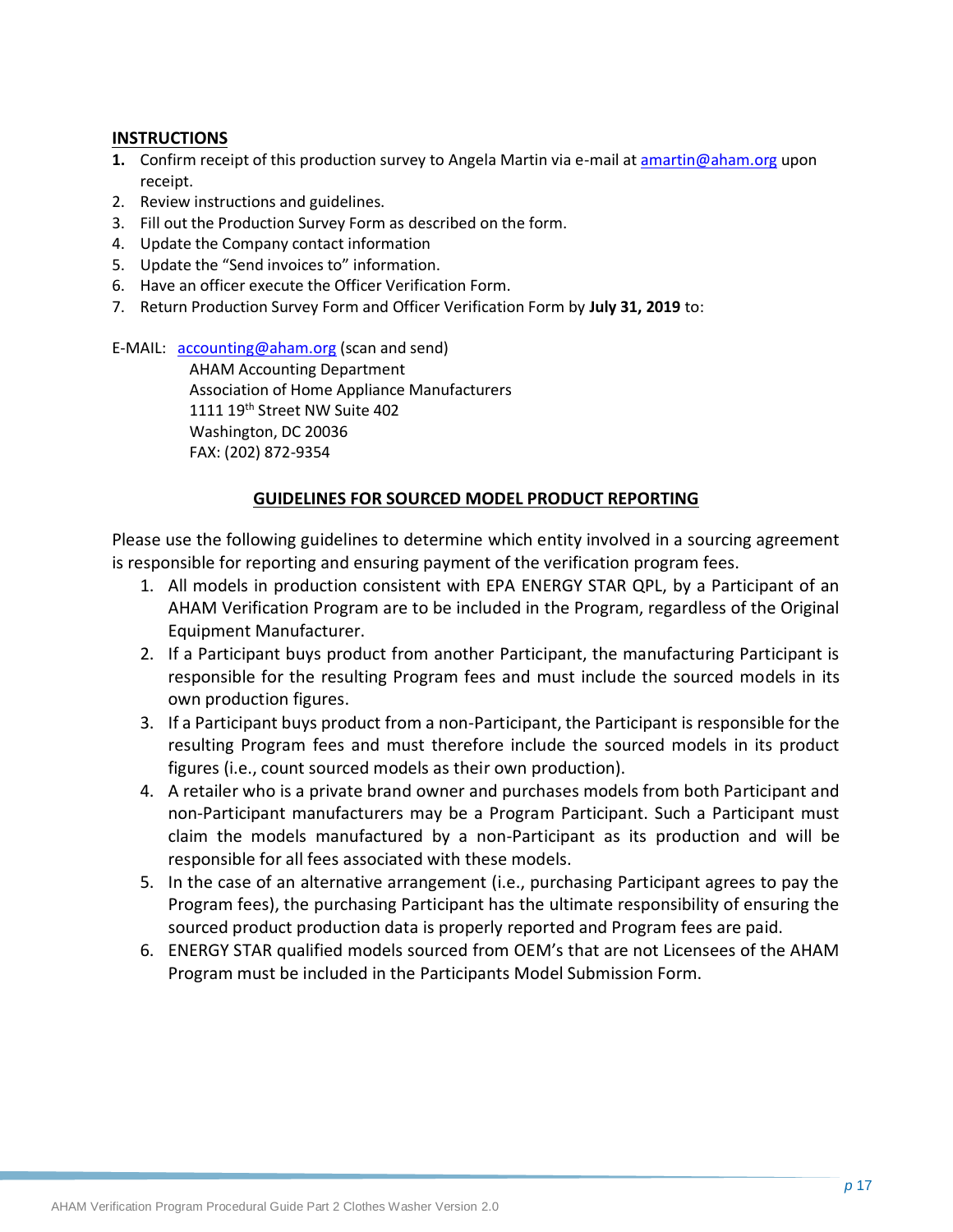#### **INSTRUCTIONS**

- **1.** Confirm receipt of this production survey to Angela Martin via e-mail a[t amartin@aham.org](mailto:jbibins@aham.org) upon receipt.
- 2. Review instructions and guidelines.
- 3. Fill out the Production Survey Form as described on the form.
- 4. Update the Company contact information
- 5. Update the "Send invoices to" information.
- 6. Have an officer execute the Officer Verification Form.
- 7. Return Production Survey Form and Officer Verification Form by **July 31, 2019** to:

E-MAIL: [accounting@aham.org](mailto:accounting@aham.org) (scan and send)

AHAM Accounting Department Association of Home Appliance Manufacturers 1111 19<sup>th</sup> Street NW Suite 402 Washington, DC 20036 FAX: (202) 872-9354

#### **GUIDELINES FOR SOURCED MODEL PRODUCT REPORTING**

Please use the following guidelines to determine which entity involved in a sourcing agreement is responsible for reporting and ensuring payment of the verification program fees.

- 1. All models in production consistent with EPA ENERGY STAR QPL, by a Participant of an AHAM Verification Program are to be included in the Program, regardless of the Original Equipment Manufacturer.
- 2. If a Participant buys product from another Participant, the manufacturing Participant is responsible for the resulting Program fees and must include the sourced models in its own production figures.
- 3. If a Participant buys product from a non-Participant, the Participant is responsible for the resulting Program fees and must therefore include the sourced models in its product figures (i.e., count sourced models as their own production).
- 4. A retailer who is a private brand owner and purchases models from both Participant and non-Participant manufacturers may be a Program Participant. Such a Participant must claim the models manufactured by a non-Participant as its production and will be responsible for all fees associated with these models.
- 5. In the case of an alternative arrangement (i.e., purchasing Participant agrees to pay the Program fees), the purchasing Participant has the ultimate responsibility of ensuring the sourced product production data is properly reported and Program fees are paid.
- 6. ENERGY STAR qualified models sourced from OEM's that are not Licensees of the AHAM Program must be included in the Participants Model Submission Form.